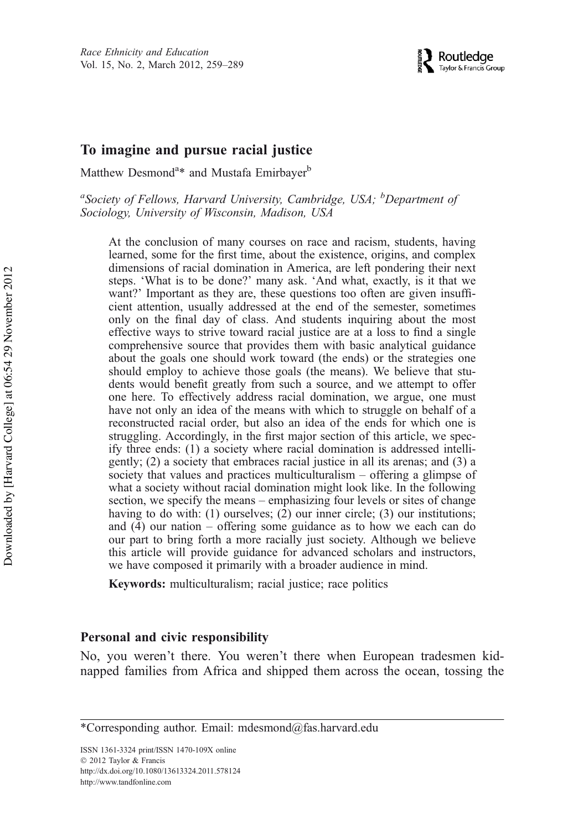# To imagine and pursue racial justice

Matthew Desmond<sup>a\*</sup> and Mustafa Emirbayer<sup>b</sup>

<sup>a</sup>Society of Fellows, Harvard University, Cambridge, USA; <sup>b</sup>Department of Sociology, University of Wisconsin, Madison, USA

At the conclusion of many courses on race and racism, students, having learned, some for the first time, about the existence, origins, and complex dimensions of racial domination in America, are left pondering their next steps. 'What is to be done?' many ask. 'And what, exactly, is it that we want?' Important as they are, these questions too often are given insufficient attention, usually addressed at the end of the semester, sometimes only on the final day of class. And students inquiring about the most effective ways to strive toward racial justice are at a loss to find a single comprehensive source that provides them with basic analytical guidance about the goals one should work toward (the ends) or the strategies one should employ to achieve those goals (the means). We believe that students would benefit greatly from such a source, and we attempt to offer one here. To effectively address racial domination, we argue, one must have not only an idea of the means with which to struggle on behalf of a reconstructed racial order, but also an idea of the ends for which one is struggling. Accordingly, in the first major section of this article, we specify three ends: (1) a society where racial domination is addressed intelligently; (2) a society that embraces racial justice in all its arenas; and (3) a society that values and practices multiculturalism – offering a glimpse of what a society without racial domination might look like. In the following section, we specify the means – emphasizing four levels or sites of change having to do with: (1) ourselves; (2) our inner circle; (3) our institutions; and (4) our nation – offering some guidance as to how we each can do our part to bring forth a more racially just society. Although we believe this article will provide guidance for advanced scholars and instructors, we have composed it primarily with a broader audience in mind.

Keywords: multiculturalism; racial justice; race politics

## Personal and civic responsibility

No, you weren't there. You weren't there when European tradesmen kidnapped families from Africa and shipped them across the ocean, tossing the

\*Corresponding author. Email: mdesmond@fas.harvard.edu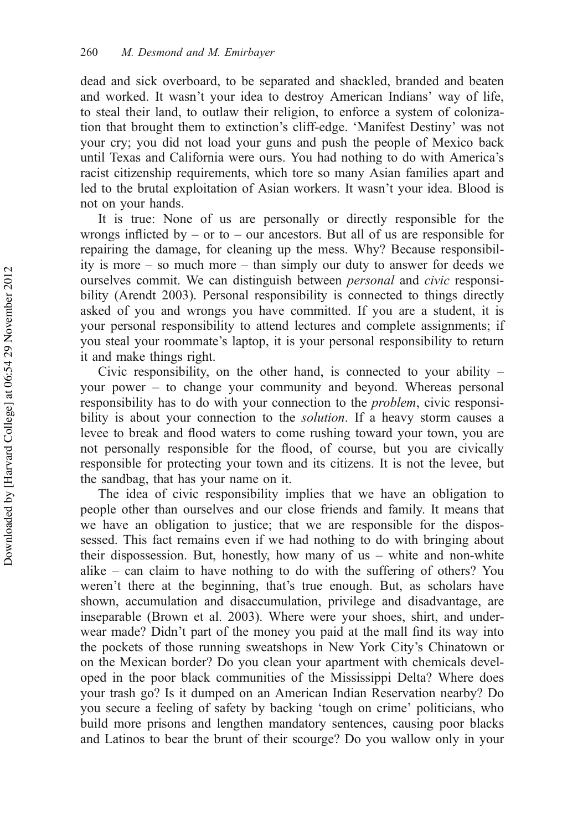dead and sick overboard, to be separated and shackled, branded and beaten and worked. It wasn't your idea to destroy American Indians' way of life, to steal their land, to outlaw their religion, to enforce a system of colonization that brought them to extinction's cliff-edge. 'Manifest Destiny' was not your cry; you did not load your guns and push the people of Mexico back until Texas and California were ours. You had nothing to do with America's racist citizenship requirements, which tore so many Asian families apart and led to the brutal exploitation of Asian workers. It wasn't your idea. Blood is not on your hands.

It is true: None of us are personally or directly responsible for the wrongs inflicted by – or to – our ancestors. But all of us are responsible for repairing the damage, for cleaning up the mess. Why? Because responsibility is more – so much more – than simply our duty to answer for deeds we ourselves commit. We can distinguish between personal and civic responsibility (Arendt 2003). Personal responsibility is connected to things directly asked of you and wrongs you have committed. If you are a student, it is your personal responsibility to attend lectures and complete assignments; if you steal your roommate's laptop, it is your personal responsibility to return it and make things right.

Civic responsibility, on the other hand, is connected to your ability  $$ your power – to change your community and beyond. Whereas personal responsibility has to do with your connection to the problem, civic responsibility is about your connection to the *solution*. If a heavy storm causes a levee to break and flood waters to come rushing toward your town, you are not personally responsible for the flood, of course, but you are civically responsible for protecting your town and its citizens. It is not the levee, but the sandbag, that has your name on it.

The idea of civic responsibility implies that we have an obligation to people other than ourselves and our close friends and family. It means that we have an obligation to justice; that we are responsible for the dispossessed. This fact remains even if we had nothing to do with bringing about their dispossession. But, honestly, how many of us – white and non-white alike – can claim to have nothing to do with the suffering of others? You weren't there at the beginning, that's true enough. But, as scholars have shown, accumulation and disaccumulation, privilege and disadvantage, are inseparable (Brown et al. 2003). Where were your shoes, shirt, and underwear made? Didn't part of the money you paid at the mall find its way into the pockets of those running sweatshops in New York City's Chinatown or on the Mexican border? Do you clean your apartment with chemicals developed in the poor black communities of the Mississippi Delta? Where does your trash go? Is it dumped on an American Indian Reservation nearby? Do you secure a feeling of safety by backing 'tough on crime' politicians, who build more prisons and lengthen mandatory sentences, causing poor blacks and Latinos to bear the brunt of their scourge? Do you wallow only in your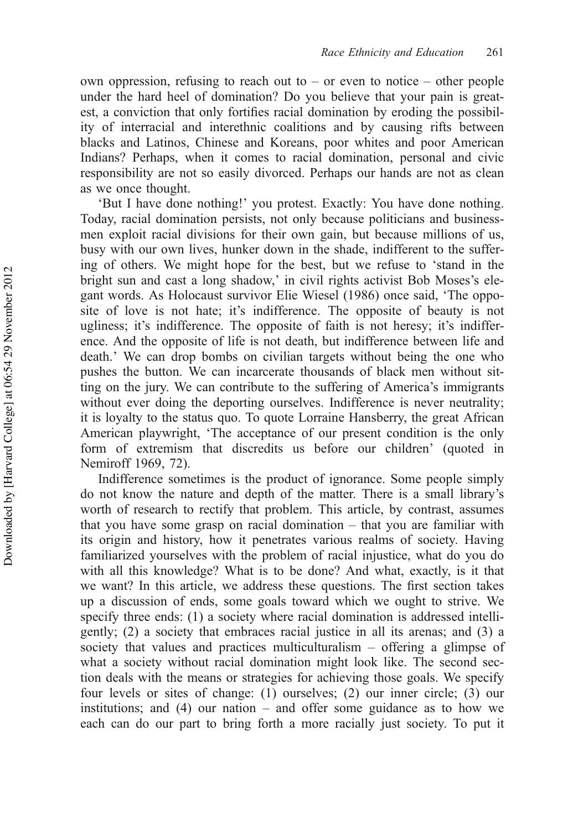own oppression, refusing to reach out to – or even to notice – other people under the hard heel of domination? Do you believe that your pain is greatest, a conviction that only fortifies racial domination by eroding the possibility of interracial and interethnic coalitions and by causing rifts between blacks and Latinos, Chinese and Koreans, poor whites and poor American Indians? Perhaps, when it comes to racial domination, personal and civic responsibility are not so easily divorced. Perhaps our hands are not as clean as we once thought.

'But I have done nothing!' you protest. Exactly: You have done nothing. Today, racial domination persists, not only because politicians and businessmen exploit racial divisions for their own gain, but because millions of us, busy with our own lives, hunker down in the shade, indifferent to the suffering of others. We might hope for the best, but we refuse to 'stand in the bright sun and cast a long shadow,' in civil rights activist Bob Moses's elegant words. As Holocaust survivor Elie Wiesel (1986) once said, 'The opposite of love is not hate; it's indifference. The opposite of beauty is not ugliness; it's indifference. The opposite of faith is not heresy; it's indifference. And the opposite of life is not death, but indifference between life and death.' We can drop bombs on civilian targets without being the one who pushes the button. We can incarcerate thousands of black men without sitting on the jury. We can contribute to the suffering of America's immigrants without ever doing the deporting ourselves. Indifference is never neutrality; it is loyalty to the status quo. To quote Lorraine Hansberry, the great African American playwright, 'The acceptance of our present condition is the only form of extremism that discredits us before our children' (quoted in Nemiroff 1969, 72).

Indifference sometimes is the product of ignorance. Some people simply do not know the nature and depth of the matter. There is a small library's worth of research to rectify that problem. This article, by contrast, assumes that you have some grasp on racial domination – that you are familiar with its origin and history, how it penetrates various realms of society. Having familiarized yourselves with the problem of racial injustice, what do you do with all this knowledge? What is to be done? And what, exactly, is it that we want? In this article, we address these questions. The first section takes up a discussion of ends, some goals toward which we ought to strive. We specify three ends: (1) a society where racial domination is addressed intelligently; (2) a society that embraces racial justice in all its arenas; and (3) a society that values and practices multiculturalism – offering a glimpse of what a society without racial domination might look like. The second section deals with the means or strategies for achieving those goals. We specify four levels or sites of change: (1) ourselves; (2) our inner circle; (3) our institutions; and  $(4)$  our nation – and offer some guidance as to how we each can do our part to bring forth a more racially just society. To put it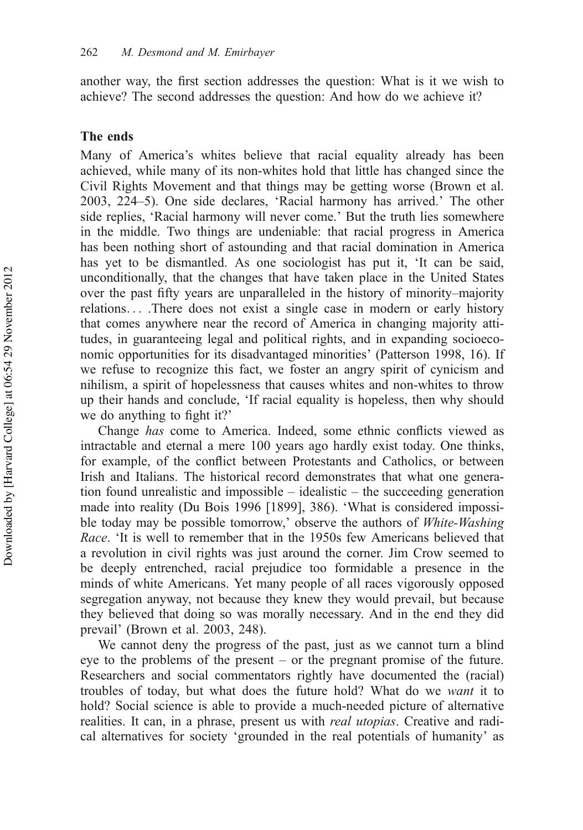another way, the first section addresses the question: What is it we wish to achieve? The second addresses the question: And how do we achieve it?

### The ends

Many of America's whites believe that racial equality already has been achieved, while many of its non-whites hold that little has changed since the Civil Rights Movement and that things may be getting worse (Brown et al. 2003, 224–5). One side declares, 'Racial harmony has arrived.' The other side replies, 'Racial harmony will never come.' But the truth lies somewhere in the middle. Two things are undeniable: that racial progress in America has been nothing short of astounding and that racial domination in America has yet to be dismantled. As one sociologist has put it, 'It can be said, unconditionally, that the changes that have taken place in the United States over the past fifty years are unparalleled in the history of minority–majority relations... .There does not exist a single case in modern or early history that comes anywhere near the record of America in changing majority attitudes, in guaranteeing legal and political rights, and in expanding socioeconomic opportunities for its disadvantaged minorities' (Patterson 1998, 16). If we refuse to recognize this fact, we foster an angry spirit of cynicism and nihilism, a spirit of hopelessness that causes whites and non-whites to throw up their hands and conclude, 'If racial equality is hopeless, then why should we do anything to fight it?'

Change has come to America. Indeed, some ethnic conflicts viewed as intractable and eternal a mere 100 years ago hardly exist today. One thinks, for example, of the conflict between Protestants and Catholics, or between Irish and Italians. The historical record demonstrates that what one generation found unrealistic and impossible – idealistic – the succeeding generation made into reality (Du Bois 1996 [1899], 386). 'What is considered impossible today may be possible tomorrow,' observe the authors of White-Washing Race. 'It is well to remember that in the 1950s few Americans believed that a revolution in civil rights was just around the corner. Jim Crow seemed to be deeply entrenched, racial prejudice too formidable a presence in the minds of white Americans. Yet many people of all races vigorously opposed segregation anyway, not because they knew they would prevail, but because they believed that doing so was morally necessary. And in the end they did prevail' (Brown et al. 2003, 248).

We cannot deny the progress of the past, just as we cannot turn a blind eye to the problems of the present – or the pregnant promise of the future. Researchers and social commentators rightly have documented the (racial) troubles of today, but what does the future hold? What do we want it to hold? Social science is able to provide a much-needed picture of alternative realities. It can, in a phrase, present us with *real utopias*. Creative and radical alternatives for society 'grounded in the real potentials of humanity' as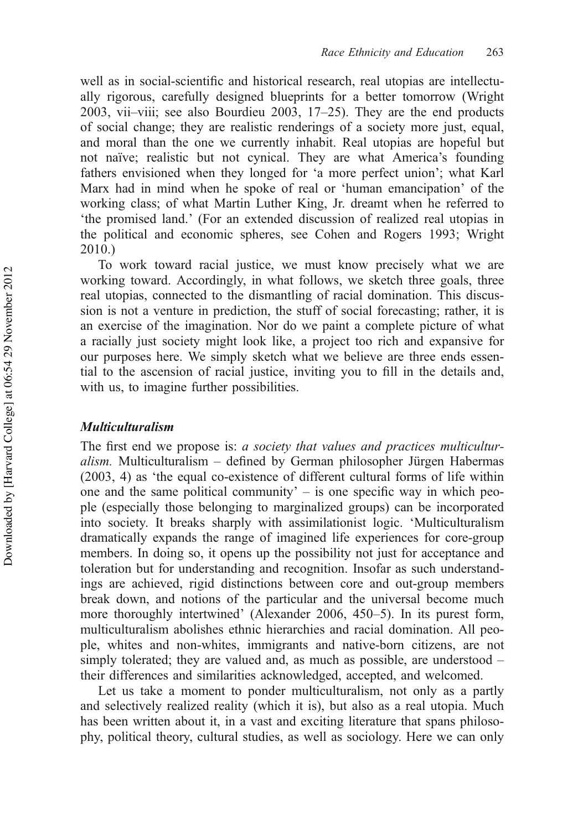well as in social-scientific and historical research, real utopias are intellectually rigorous, carefully designed blueprints for a better tomorrow (Wright 2003, vii–viii; see also Bourdieu 2003, 17–25). They are the end products of social change; they are realistic renderings of a society more just, equal, and moral than the one we currently inhabit. Real utopias are hopeful but not naïve; realistic but not cynical. They are what America's founding fathers envisioned when they longed for 'a more perfect union'; what Karl Marx had in mind when he spoke of real or 'human emancipation' of the working class; of what Martin Luther King, Jr. dreamt when he referred to 'the promised land.' (For an extended discussion of realized real utopias in the political and economic spheres, see Cohen and Rogers 1993; Wright 2010.)

To work toward racial justice, we must know precisely what we are working toward. Accordingly, in what follows, we sketch three goals, three real utopias, connected to the dismantling of racial domination. This discussion is not a venture in prediction, the stuff of social forecasting; rather, it is an exercise of the imagination. Nor do we paint a complete picture of what a racially just society might look like, a project too rich and expansive for our purposes here. We simply sketch what we believe are three ends essential to the ascension of racial justice, inviting you to fill in the details and, with us, to imagine further possibilities.

### Multiculturalism

The first end we propose is: a society that values and practices multiculturalism. Multiculturalism – defined by German philosopher Jürgen Habermas (2003, 4) as 'the equal co-existence of different cultural forms of life within one and the same political community' – is one specific way in which people (especially those belonging to marginalized groups) can be incorporated into society. It breaks sharply with assimilationist logic. 'Multiculturalism dramatically expands the range of imagined life experiences for core-group members. In doing so, it opens up the possibility not just for acceptance and toleration but for understanding and recognition. Insofar as such understandings are achieved, rigid distinctions between core and out-group members break down, and notions of the particular and the universal become much more thoroughly intertwined' (Alexander 2006, 450–5). In its purest form, multiculturalism abolishes ethnic hierarchies and racial domination. All people, whites and non-whites, immigrants and native-born citizens, are not simply tolerated; they are valued and, as much as possible, are understood – their differences and similarities acknowledged, accepted, and welcomed.

Let us take a moment to ponder multiculturalism, not only as a partly and selectively realized reality (which it is), but also as a real utopia. Much has been written about it, in a vast and exciting literature that spans philosophy, political theory, cultural studies, as well as sociology. Here we can only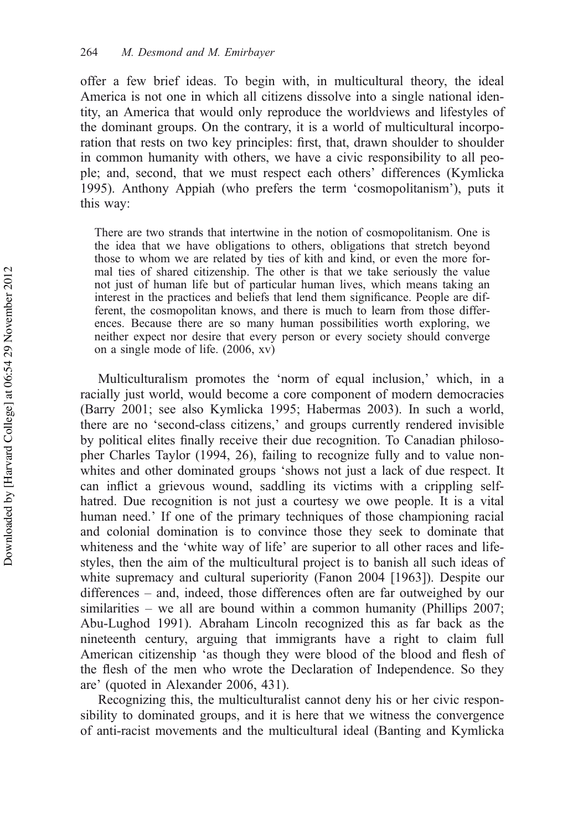offer a few brief ideas. To begin with, in multicultural theory, the ideal America is not one in which all citizens dissolve into a single national identity, an America that would only reproduce the worldviews and lifestyles of the dominant groups. On the contrary, it is a world of multicultural incorporation that rests on two key principles: first, that, drawn shoulder to shoulder in common humanity with others, we have a civic responsibility to all people; and, second, that we must respect each others' differences (Kymlicka 1995). Anthony Appiah (who prefers the term 'cosmopolitanism'), puts it this way:

There are two strands that intertwine in the notion of cosmopolitanism. One is the idea that we have obligations to others, obligations that stretch beyond those to whom we are related by ties of kith and kind, or even the more formal ties of shared citizenship. The other is that we take seriously the value not just of human life but of particular human lives, which means taking an interest in the practices and beliefs that lend them significance. People are different, the cosmopolitan knows, and there is much to learn from those differences. Because there are so many human possibilities worth exploring, we neither expect nor desire that every person or every society should converge on a single mode of life. (2006, xv)

Multiculturalism promotes the 'norm of equal inclusion,' which, in a racially just world, would become a core component of modern democracies (Barry 2001; see also Kymlicka 1995; Habermas 2003). In such a world, there are no 'second-class citizens,' and groups currently rendered invisible by political elites finally receive their due recognition. To Canadian philosopher Charles Taylor (1994, 26), failing to recognize fully and to value nonwhites and other dominated groups 'shows not just a lack of due respect. It can inflict a grievous wound, saddling its victims with a crippling selfhatred. Due recognition is not just a courtesy we owe people. It is a vital human need.' If one of the primary techniques of those championing racial and colonial domination is to convince those they seek to dominate that whiteness and the 'white way of life' are superior to all other races and lifestyles, then the aim of the multicultural project is to banish all such ideas of white supremacy and cultural superiority (Fanon 2004 [1963]). Despite our differences – and, indeed, those differences often are far outweighed by our similarities – we all are bound within a common humanity (Phillips 2007; Abu-Lughod 1991). Abraham Lincoln recognized this as far back as the nineteenth century, arguing that immigrants have a right to claim full American citizenship 'as though they were blood of the blood and flesh of the flesh of the men who wrote the Declaration of Independence. So they are' (quoted in Alexander 2006, 431).

Recognizing this, the multiculturalist cannot deny his or her civic responsibility to dominated groups, and it is here that we witness the convergence of anti-racist movements and the multicultural ideal (Banting and Kymlicka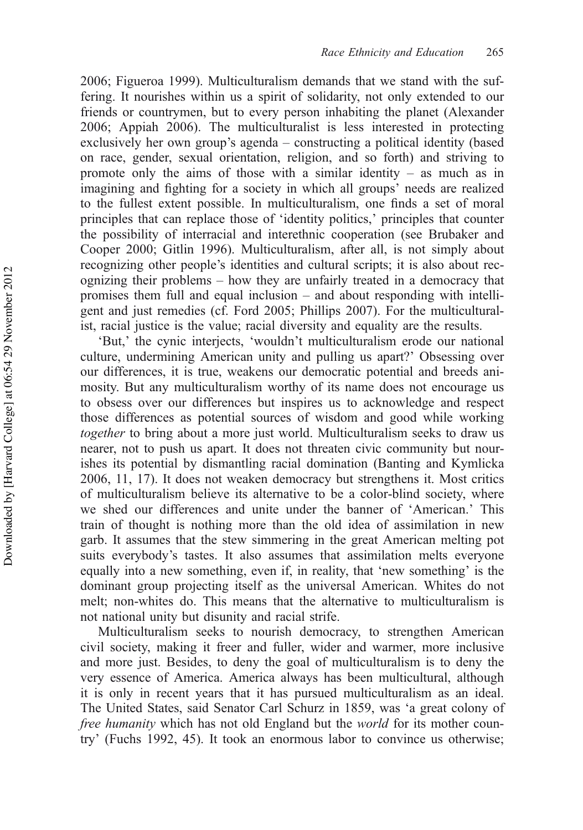2006; Figueroa 1999). Multiculturalism demands that we stand with the suffering. It nourishes within us a spirit of solidarity, not only extended to our friends or countrymen, but to every person inhabiting the planet (Alexander 2006; Appiah 2006). The multiculturalist is less interested in protecting exclusively her own group's agenda – constructing a political identity (based on race, gender, sexual orientation, religion, and so forth) and striving to promote only the aims of those with a similar identity – as much as in imagining and fighting for a society in which all groups' needs are realized to the fullest extent possible. In multiculturalism, one finds a set of moral principles that can replace those of 'identity politics,' principles that counter the possibility of interracial and interethnic cooperation (see Brubaker and Cooper 2000; Gitlin 1996). Multiculturalism, after all, is not simply about recognizing other people's identities and cultural scripts; it is also about recognizing their problems – how they are unfairly treated in a democracy that promises them full and equal inclusion – and about responding with intelligent and just remedies (cf. Ford 2005; Phillips 2007). For the multiculturalist, racial justice is the value; racial diversity and equality are the results.

'But,' the cynic interjects, 'wouldn't multiculturalism erode our national culture, undermining American unity and pulling us apart?' Obsessing over our differences, it is true, weakens our democratic potential and breeds animosity. But any multiculturalism worthy of its name does not encourage us to obsess over our differences but inspires us to acknowledge and respect those differences as potential sources of wisdom and good while working together to bring about a more just world. Multiculturalism seeks to draw us nearer, not to push us apart. It does not threaten civic community but nourishes its potential by dismantling racial domination (Banting and Kymlicka 2006, 11, 17). It does not weaken democracy but strengthens it. Most critics of multiculturalism believe its alternative to be a color-blind society, where we shed our differences and unite under the banner of 'American.' This train of thought is nothing more than the old idea of assimilation in new garb. It assumes that the stew simmering in the great American melting pot suits everybody's tastes. It also assumes that assimilation melts everyone equally into a new something, even if, in reality, that 'new something' is the dominant group projecting itself as the universal American. Whites do not melt; non-whites do. This means that the alternative to multiculturalism is not national unity but disunity and racial strife.

Multiculturalism seeks to nourish democracy, to strengthen American civil society, making it freer and fuller, wider and warmer, more inclusive and more just. Besides, to deny the goal of multiculturalism is to deny the very essence of America. America always has been multicultural, although it is only in recent years that it has pursued multiculturalism as an ideal. The United States, said Senator Carl Schurz in 1859, was 'a great colony of *free humanity* which has not old England but the *world* for its mother country' (Fuchs 1992, 45). It took an enormous labor to convince us otherwise;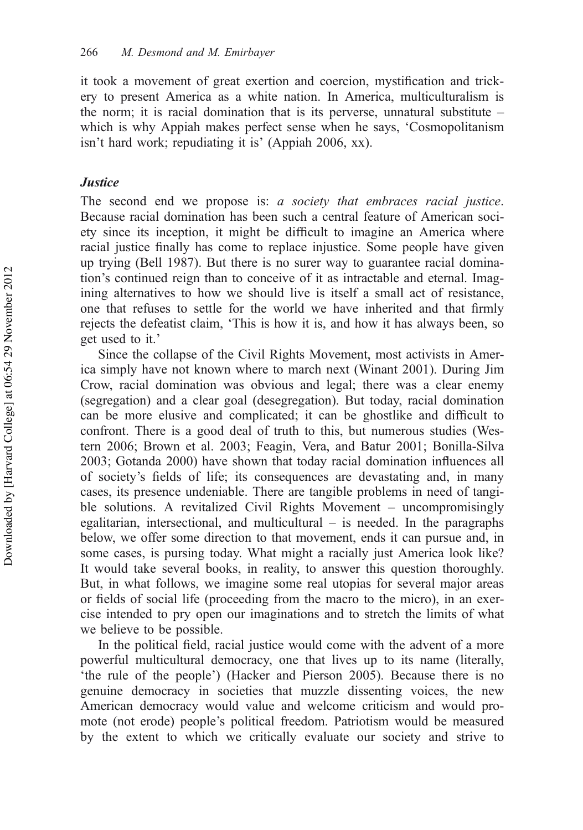it took a movement of great exertion and coercion, mystification and trickery to present America as a white nation. In America, multiculturalism is the norm; it is racial domination that is its perverse, unnatural substitute – which is why Appiah makes perfect sense when he says, 'Cosmopolitanism isn't hard work; repudiating it is' (Appiah 2006, xx).

### *Justice*

The second end we propose is: a society that embraces racial justice. Because racial domination has been such a central feature of American society since its inception, it might be difficult to imagine an America where racial justice finally has come to replace injustice. Some people have given up trying (Bell 1987). But there is no surer way to guarantee racial domination's continued reign than to conceive of it as intractable and eternal. Imagining alternatives to how we should live is itself a small act of resistance, one that refuses to settle for the world we have inherited and that firmly rejects the defeatist claim, 'This is how it is, and how it has always been, so get used to it.'

Since the collapse of the Civil Rights Movement, most activists in America simply have not known where to march next (Winant 2001). During Jim Crow, racial domination was obvious and legal; there was a clear enemy (segregation) and a clear goal (desegregation). But today, racial domination can be more elusive and complicated; it can be ghostlike and difficult to confront. There is a good deal of truth to this, but numerous studies (Western 2006; Brown et al. 2003; Feagin, Vera, and Batur 2001; Bonilla-Silva 2003; Gotanda 2000) have shown that today racial domination influences all of society's fields of life; its consequences are devastating and, in many cases, its presence undeniable. There are tangible problems in need of tangible solutions. A revitalized Civil Rights Movement – uncompromisingly egalitarian, intersectional, and multicultural – is needed. In the paragraphs below, we offer some direction to that movement, ends it can pursue and, in some cases, is pursing today. What might a racially just America look like? It would take several books, in reality, to answer this question thoroughly. But, in what follows, we imagine some real utopias for several major areas or fields of social life (proceeding from the macro to the micro), in an exercise intended to pry open our imaginations and to stretch the limits of what we believe to be possible.

In the political field, racial justice would come with the advent of a more powerful multicultural democracy, one that lives up to its name (literally, 'the rule of the people') (Hacker and Pierson 2005). Because there is no genuine democracy in societies that muzzle dissenting voices, the new American democracy would value and welcome criticism and would promote (not erode) people's political freedom. Patriotism would be measured by the extent to which we critically evaluate our society and strive to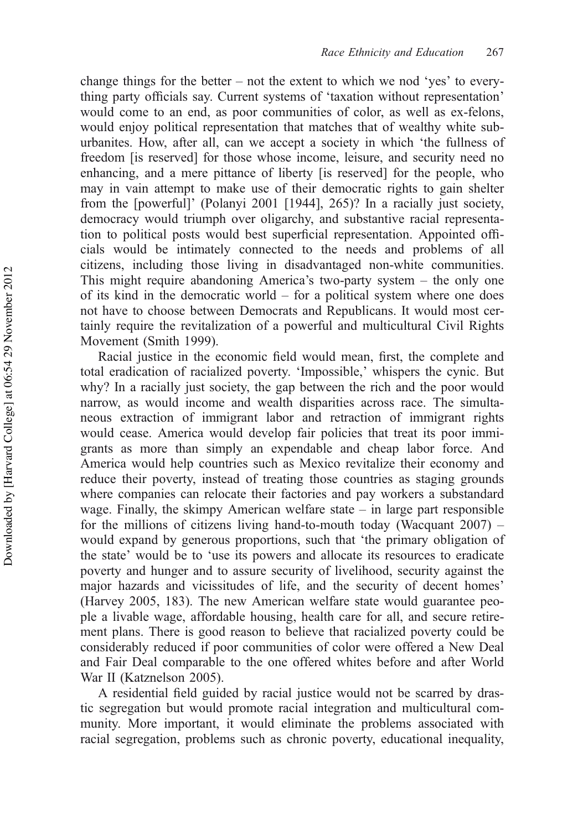change things for the better – not the extent to which we nod 'yes' to everything party officials say. Current systems of 'taxation without representation' would come to an end, as poor communities of color, as well as ex-felons, would enjoy political representation that matches that of wealthy white suburbanites. How, after all, can we accept a society in which 'the fullness of freedom [is reserved] for those whose income, leisure, and security need no enhancing, and a mere pittance of liberty [is reserved] for the people, who may in vain attempt to make use of their democratic rights to gain shelter from the [powerful]' (Polanyi 2001 [1944], 265)? In a racially just society, democracy would triumph over oligarchy, and substantive racial representation to political posts would best superficial representation. Appointed officials would be intimately connected to the needs and problems of all citizens, including those living in disadvantaged non-white communities. This might require abandoning America's two-party system – the only one of its kind in the democratic world – for a political system where one does not have to choose between Democrats and Republicans. It would most certainly require the revitalization of a powerful and multicultural Civil Rights Movement (Smith 1999).

Racial justice in the economic field would mean, first, the complete and total eradication of racialized poverty. 'Impossible,' whispers the cynic. But why? In a racially just society, the gap between the rich and the poor would narrow, as would income and wealth disparities across race. The simultaneous extraction of immigrant labor and retraction of immigrant rights would cease. America would develop fair policies that treat its poor immigrants as more than simply an expendable and cheap labor force. And America would help countries such as Mexico revitalize their economy and reduce their poverty, instead of treating those countries as staging grounds where companies can relocate their factories and pay workers a substandard wage. Finally, the skimpy American welfare state  $-$  in large part responsible for the millions of citizens living hand-to-mouth today (Wacquant 2007) – would expand by generous proportions, such that 'the primary obligation of the state' would be to 'use its powers and allocate its resources to eradicate poverty and hunger and to assure security of livelihood, security against the major hazards and vicissitudes of life, and the security of decent homes' (Harvey 2005, 183). The new American welfare state would guarantee people a livable wage, affordable housing, health care for all, and secure retirement plans. There is good reason to believe that racialized poverty could be considerably reduced if poor communities of color were offered a New Deal and Fair Deal comparable to the one offered whites before and after World War II (Katznelson 2005).

A residential field guided by racial justice would not be scarred by drastic segregation but would promote racial integration and multicultural community. More important, it would eliminate the problems associated with racial segregation, problems such as chronic poverty, educational inequality,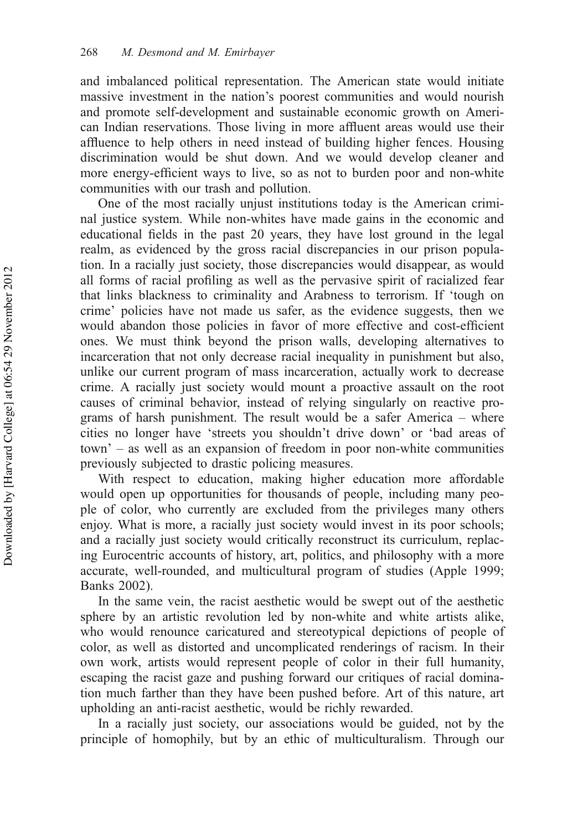and imbalanced political representation. The American state would initiate massive investment in the nation's poorest communities and would nourish and promote self-development and sustainable economic growth on American Indian reservations. Those living in more affluent areas would use their affluence to help others in need instead of building higher fences. Housing discrimination would be shut down. And we would develop cleaner and more energy-efficient ways to live, so as not to burden poor and non-white communities with our trash and pollution.

One of the most racially unjust institutions today is the American criminal justice system. While non-whites have made gains in the economic and educational fields in the past 20 years, they have lost ground in the legal realm, as evidenced by the gross racial discrepancies in our prison population. In a racially just society, those discrepancies would disappear, as would all forms of racial profiling as well as the pervasive spirit of racialized fear that links blackness to criminality and Arabness to terrorism. If 'tough on crime' policies have not made us safer, as the evidence suggests, then we would abandon those policies in favor of more effective and cost-efficient ones. We must think beyond the prison walls, developing alternatives to incarceration that not only decrease racial inequality in punishment but also, unlike our current program of mass incarceration, actually work to decrease crime. A racially just society would mount a proactive assault on the root causes of criminal behavior, instead of relying singularly on reactive programs of harsh punishment. The result would be a safer America – where cities no longer have 'streets you shouldn't drive down' or 'bad areas of town' – as well as an expansion of freedom in poor non-white communities previously subjected to drastic policing measures.

With respect to education, making higher education more affordable would open up opportunities for thousands of people, including many people of color, who currently are excluded from the privileges many others enjoy. What is more, a racially just society would invest in its poor schools; and a racially just society would critically reconstruct its curriculum, replacing Eurocentric accounts of history, art, politics, and philosophy with a more accurate, well-rounded, and multicultural program of studies (Apple 1999; Banks 2002).

In the same vein, the racist aesthetic would be swept out of the aesthetic sphere by an artistic revolution led by non-white and white artists alike, who would renounce caricatured and stereotypical depictions of people of color, as well as distorted and uncomplicated renderings of racism. In their own work, artists would represent people of color in their full humanity, escaping the racist gaze and pushing forward our critiques of racial domination much farther than they have been pushed before. Art of this nature, art upholding an anti-racist aesthetic, would be richly rewarded.

In a racially just society, our associations would be guided, not by the principle of homophily, but by an ethic of multiculturalism. Through our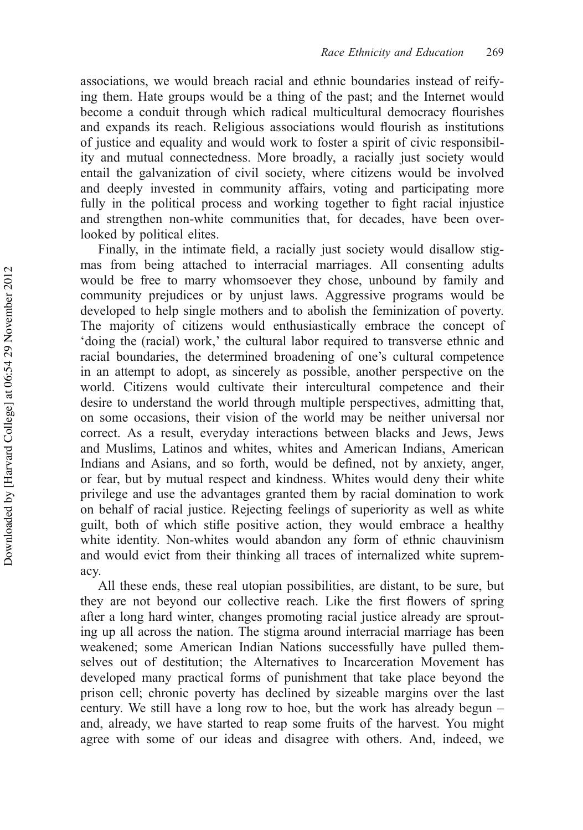associations, we would breach racial and ethnic boundaries instead of reifying them. Hate groups would be a thing of the past; and the Internet would become a conduit through which radical multicultural democracy flourishes and expands its reach. Religious associations would flourish as institutions of justice and equality and would work to foster a spirit of civic responsibility and mutual connectedness. More broadly, a racially just society would entail the galvanization of civil society, where citizens would be involved and deeply invested in community affairs, voting and participating more fully in the political process and working together to fight racial injustice and strengthen non-white communities that, for decades, have been overlooked by political elites.

Finally, in the intimate field, a racially just society would disallow stigmas from being attached to interracial marriages. All consenting adults would be free to marry whomsoever they chose, unbound by family and community prejudices or by unjust laws. Aggressive programs would be developed to help single mothers and to abolish the feminization of poverty. The majority of citizens would enthusiastically embrace the concept of 'doing the (racial) work,' the cultural labor required to transverse ethnic and racial boundaries, the determined broadening of one's cultural competence in an attempt to adopt, as sincerely as possible, another perspective on the world. Citizens would cultivate their intercultural competence and their desire to understand the world through multiple perspectives, admitting that, on some occasions, their vision of the world may be neither universal nor correct. As a result, everyday interactions between blacks and Jews, Jews and Muslims, Latinos and whites, whites and American Indians, American Indians and Asians, and so forth, would be defined, not by anxiety, anger, or fear, but by mutual respect and kindness. Whites would deny their white privilege and use the advantages granted them by racial domination to work on behalf of racial justice. Rejecting feelings of superiority as well as white guilt, both of which stifle positive action, they would embrace a healthy white identity. Non-whites would abandon any form of ethnic chauvinism and would evict from their thinking all traces of internalized white supremacy.

All these ends, these real utopian possibilities, are distant, to be sure, but they are not beyond our collective reach. Like the first flowers of spring after a long hard winter, changes promoting racial justice already are sprouting up all across the nation. The stigma around interracial marriage has been weakened; some American Indian Nations successfully have pulled themselves out of destitution; the Alternatives to Incarceration Movement has developed many practical forms of punishment that take place beyond the prison cell; chronic poverty has declined by sizeable margins over the last century. We still have a long row to hoe, but the work has already begun – and, already, we have started to reap some fruits of the harvest. You might agree with some of our ideas and disagree with others. And, indeed, we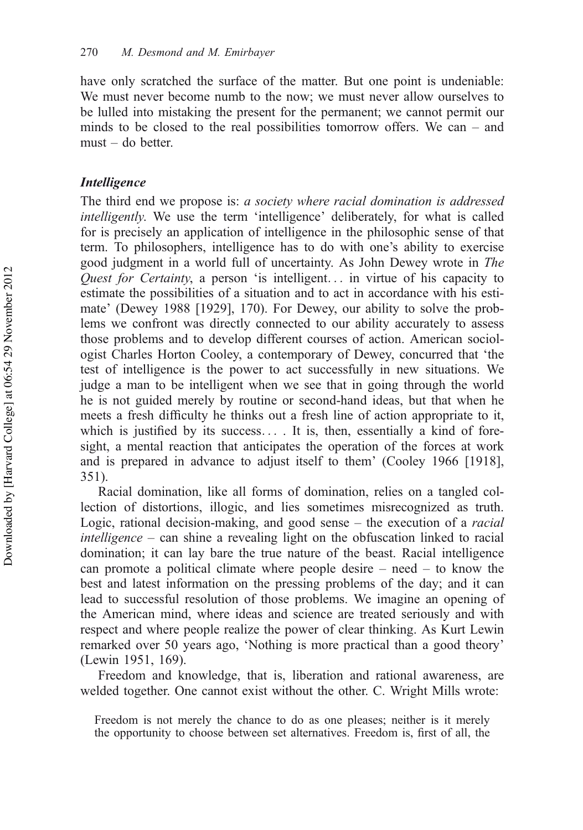have only scratched the surface of the matter. But one point is undeniable: We must never become numb to the now; we must never allow ourselves to be lulled into mistaking the present for the permanent; we cannot permit our minds to be closed to the real possibilities tomorrow offers. We can – and must – do better.

### **Intelligence**

The third end we propose is: a society where racial domination is addressed intelligently. We use the term 'intelligence' deliberately, for what is called for is precisely an application of intelligence in the philosophic sense of that term. To philosophers, intelligence has to do with one's ability to exercise good judgment in a world full of uncertainty. As John Dewey wrote in The Quest for Certainty, a person 'is intelligent... in virtue of his capacity to estimate the possibilities of a situation and to act in accordance with his estimate' (Dewey 1988 [1929], 170). For Dewey, our ability to solve the problems we confront was directly connected to our ability accurately to assess those problems and to develop different courses of action. American sociologist Charles Horton Cooley, a contemporary of Dewey, concurred that 'the test of intelligence is the power to act successfully in new situations. We judge a man to be intelligent when we see that in going through the world he is not guided merely by routine or second-hand ideas, but that when he meets a fresh difficulty he thinks out a fresh line of action appropriate to it, which is justified by its success.... It is, then, essentially a kind of foresight, a mental reaction that anticipates the operation of the forces at work and is prepared in advance to adjust itself to them' (Cooley 1966 [1918], 351).

Racial domination, like all forms of domination, relies on a tangled collection of distortions, illogic, and lies sometimes misrecognized as truth. Logic, rational decision-making, and good sense  $-$  the execution of a *racial* intelligence – can shine a revealing light on the obfuscation linked to racial domination; it can lay bare the true nature of the beast. Racial intelligence can promote a political climate where people desire  $-$  need  $-$  to know the best and latest information on the pressing problems of the day; and it can lead to successful resolution of those problems. We imagine an opening of the American mind, where ideas and science are treated seriously and with respect and where people realize the power of clear thinking. As Kurt Lewin remarked over 50 years ago, 'Nothing is more practical than a good theory' (Lewin 1951, 169).

Freedom and knowledge, that is, liberation and rational awareness, are welded together. One cannot exist without the other. C. Wright Mills wrote:

Freedom is not merely the chance to do as one pleases; neither is it merely the opportunity to choose between set alternatives. Freedom is, first of all, the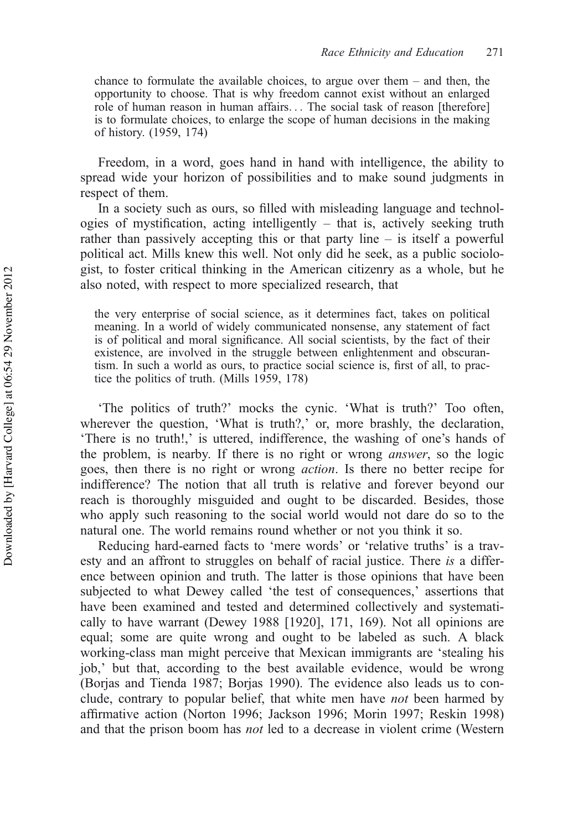chance to formulate the available choices, to argue over them – and then, the opportunity to choose. That is why freedom cannot exist without an enlarged role of human reason in human affairs... The social task of reason [therefore] is to formulate choices, to enlarge the scope of human decisions in the making of history. (1959, 174)

Freedom, in a word, goes hand in hand with intelligence, the ability to spread wide your horizon of possibilities and to make sound judgments in respect of them.

In a society such as ours, so filled with misleading language and technologies of mystification, acting intelligently – that is, actively seeking truth rather than passively accepting this or that party line – is itself a powerful political act. Mills knew this well. Not only did he seek, as a public sociologist, to foster critical thinking in the American citizenry as a whole, but he also noted, with respect to more specialized research, that

the very enterprise of social science, as it determines fact, takes on political meaning. In a world of widely communicated nonsense, any statement of fact is of political and moral significance. All social scientists, by the fact of their existence, are involved in the struggle between enlightenment and obscurantism. In such a world as ours, to practice social science is, first of all, to practice the politics of truth. (Mills 1959, 178)

'The politics of truth?' mocks the cynic. 'What is truth?' Too often, wherever the question, 'What is truth?,' or, more brashly, the declaration, 'There is no truth!,' is uttered, indifference, the washing of one's hands of the problem, is nearby. If there is no right or wrong answer, so the logic goes, then there is no right or wrong action. Is there no better recipe for indifference? The notion that all truth is relative and forever beyond our reach is thoroughly misguided and ought to be discarded. Besides, those who apply such reasoning to the social world would not dare do so to the natural one. The world remains round whether or not you think it so.

Reducing hard-earned facts to 'mere words' or 'relative truths' is a travesty and an affront to struggles on behalf of racial justice. There is a difference between opinion and truth. The latter is those opinions that have been subjected to what Dewey called 'the test of consequences,' assertions that have been examined and tested and determined collectively and systematically to have warrant (Dewey 1988 [1920], 171, 169). Not all opinions are equal; some are quite wrong and ought to be labeled as such. A black working-class man might perceive that Mexican immigrants are 'stealing his job,' but that, according to the best available evidence, would be wrong (Borjas and Tienda 1987; Borjas 1990). The evidence also leads us to conclude, contrary to popular belief, that white men have *not* been harmed by affirmative action (Norton 1996; Jackson 1996; Morin 1997; Reskin 1998) and that the prison boom has not led to a decrease in violent crime (Western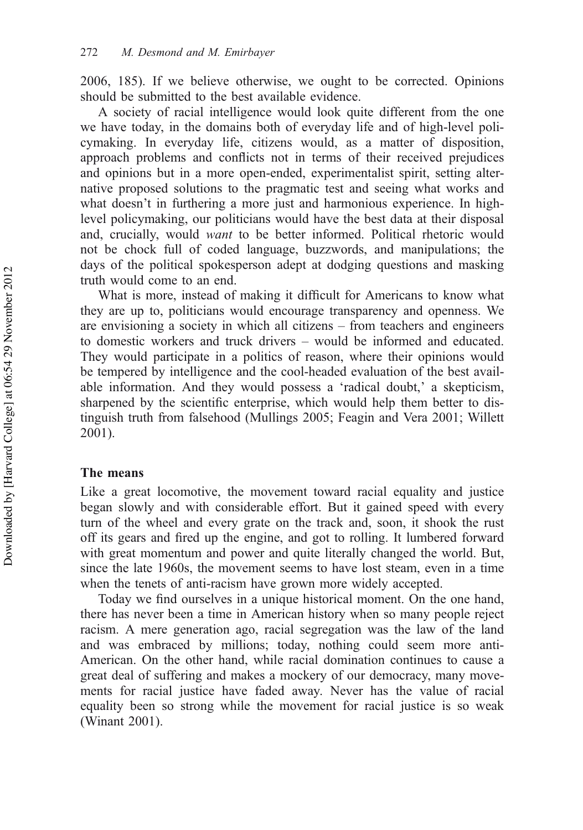2006, 185). If we believe otherwise, we ought to be corrected. Opinions should be submitted to the best available evidence.

A society of racial intelligence would look quite different from the one we have today, in the domains both of everyday life and of high-level policymaking. In everyday life, citizens would, as a matter of disposition, approach problems and conflicts not in terms of their received prejudices and opinions but in a more open-ended, experimentalist spirit, setting alternative proposed solutions to the pragmatic test and seeing what works and what doesn't in furthering a more just and harmonious experience. In highlevel policymaking, our politicians would have the best data at their disposal and, crucially, would want to be better informed. Political rhetoric would not be chock full of coded language, buzzwords, and manipulations; the days of the political spokesperson adept at dodging questions and masking truth would come to an end.

What is more, instead of making it difficult for Americans to know what they are up to, politicians would encourage transparency and openness. We are envisioning a society in which all citizens – from teachers and engineers to domestic workers and truck drivers – would be informed and educated. They would participate in a politics of reason, where their opinions would be tempered by intelligence and the cool-headed evaluation of the best available information. And they would possess a 'radical doubt,' a skepticism, sharpened by the scientific enterprise, which would help them better to distinguish truth from falsehood (Mullings 2005; Feagin and Vera 2001; Willett 2001).

### The means

Like a great locomotive, the movement toward racial equality and justice began slowly and with considerable effort. But it gained speed with every turn of the wheel and every grate on the track and, soon, it shook the rust off its gears and fired up the engine, and got to rolling. It lumbered forward with great momentum and power and quite literally changed the world. But, since the late 1960s, the movement seems to have lost steam, even in a time when the tenets of anti-racism have grown more widely accepted.

Today we find ourselves in a unique historical moment. On the one hand, there has never been a time in American history when so many people reject racism. A mere generation ago, racial segregation was the law of the land and was embraced by millions; today, nothing could seem more anti-American. On the other hand, while racial domination continues to cause a great deal of suffering and makes a mockery of our democracy, many movements for racial justice have faded away. Never has the value of racial equality been so strong while the movement for racial justice is so weak (Winant 2001).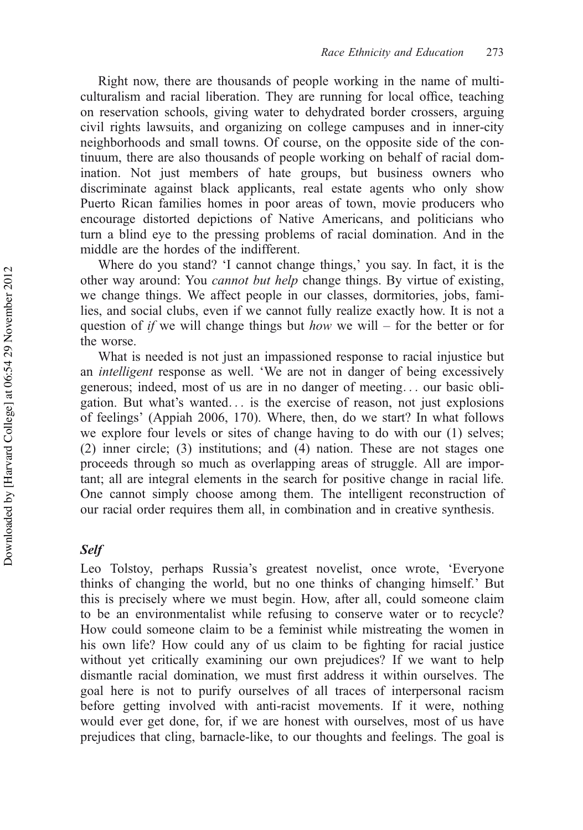Right now, there are thousands of people working in the name of multiculturalism and racial liberation. They are running for local office, teaching on reservation schools, giving water to dehydrated border crossers, arguing civil rights lawsuits, and organizing on college campuses and in inner-city neighborhoods and small towns. Of course, on the opposite side of the continuum, there are also thousands of people working on behalf of racial domination. Not just members of hate groups, but business owners who discriminate against black applicants, real estate agents who only show Puerto Rican families homes in poor areas of town, movie producers who encourage distorted depictions of Native Americans, and politicians who turn a blind eye to the pressing problems of racial domination. And in the middle are the hordes of the indifferent.

Where do you stand? 'I cannot change things,' you say. In fact, it is the other way around: You cannot but help change things. By virtue of existing, we change things. We affect people in our classes, dormitories, jobs, families, and social clubs, even if we cannot fully realize exactly how. It is not a question of if we will change things but how we will – for the better or for the worse.

What is needed is not just an impassioned response to racial injustice but an intelligent response as well. 'We are not in danger of being excessively generous; indeed, most of us are in no danger of meeting... our basic obligation. But what's wanted... is the exercise of reason, not just explosions of feelings' (Appiah 2006, 170). Where, then, do we start? In what follows we explore four levels or sites of change having to do with our (1) selves; (2) inner circle; (3) institutions; and (4) nation. These are not stages one proceeds through so much as overlapping areas of struggle. All are important; all are integral elements in the search for positive change in racial life. One cannot simply choose among them. The intelligent reconstruction of our racial order requires them all, in combination and in creative synthesis.

### Self

Leo Tolstoy, perhaps Russia's greatest novelist, once wrote, 'Everyone thinks of changing the world, but no one thinks of changing himself.' But this is precisely where we must begin. How, after all, could someone claim to be an environmentalist while refusing to conserve water or to recycle? How could someone claim to be a feminist while mistreating the women in his own life? How could any of us claim to be fighting for racial justice without yet critically examining our own prejudices? If we want to help dismantle racial domination, we must first address it within ourselves. The goal here is not to purify ourselves of all traces of interpersonal racism before getting involved with anti-racist movements. If it were, nothing would ever get done, for, if we are honest with ourselves, most of us have prejudices that cling, barnacle-like, to our thoughts and feelings. The goal is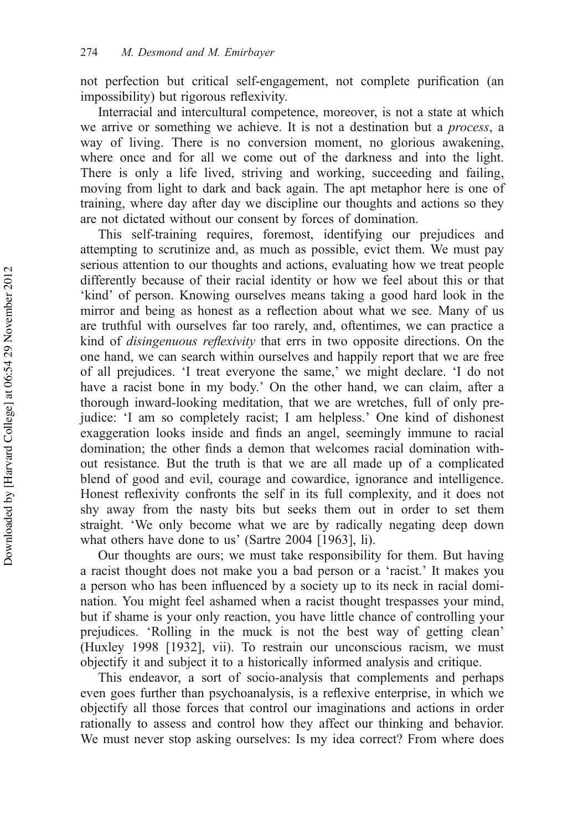not perfection but critical self-engagement, not complete purification (an impossibility) but rigorous reflexivity.

Interracial and intercultural competence, moreover, is not a state at which we arrive or something we achieve. It is not a destination but a *process*, a way of living. There is no conversion moment, no glorious awakening, where once and for all we come out of the darkness and into the light. There is only a life lived, striving and working, succeeding and failing, moving from light to dark and back again. The apt metaphor here is one of training, where day after day we discipline our thoughts and actions so they are not dictated without our consent by forces of domination.

This self-training requires, foremost, identifying our prejudices and attempting to scrutinize and, as much as possible, evict them. We must pay serious attention to our thoughts and actions, evaluating how we treat people differently because of their racial identity or how we feel about this or that 'kind' of person. Knowing ourselves means taking a good hard look in the mirror and being as honest as a reflection about what we see. Many of us are truthful with ourselves far too rarely, and, oftentimes, we can practice a kind of disingenuous reflexivity that errs in two opposite directions. On the one hand, we can search within ourselves and happily report that we are free of all prejudices. 'I treat everyone the same,' we might declare. 'I do not have a racist bone in my body.' On the other hand, we can claim, after a thorough inward-looking meditation, that we are wretches, full of only prejudice: 'I am so completely racist; I am helpless.' One kind of dishonest exaggeration looks inside and finds an angel, seemingly immune to racial domination; the other finds a demon that welcomes racial domination without resistance. But the truth is that we are all made up of a complicated blend of good and evil, courage and cowardice, ignorance and intelligence. Honest reflexivity confronts the self in its full complexity, and it does not shy away from the nasty bits but seeks them out in order to set them straight. 'We only become what we are by radically negating deep down what others have done to us' (Sartre 2004 [1963], li).

Our thoughts are ours; we must take responsibility for them. But having a racist thought does not make you a bad person or a 'racist.' It makes you a person who has been influenced by a society up to its neck in racial domination. You might feel ashamed when a racist thought trespasses your mind, but if shame is your only reaction, you have little chance of controlling your prejudices. 'Rolling in the muck is not the best way of getting clean' (Huxley 1998 [1932], vii). To restrain our unconscious racism, we must objectify it and subject it to a historically informed analysis and critique.

This endeavor, a sort of socio-analysis that complements and perhaps even goes further than psychoanalysis, is a reflexive enterprise, in which we objectify all those forces that control our imaginations and actions in order rationally to assess and control how they affect our thinking and behavior. We must never stop asking ourselves: Is my idea correct? From where does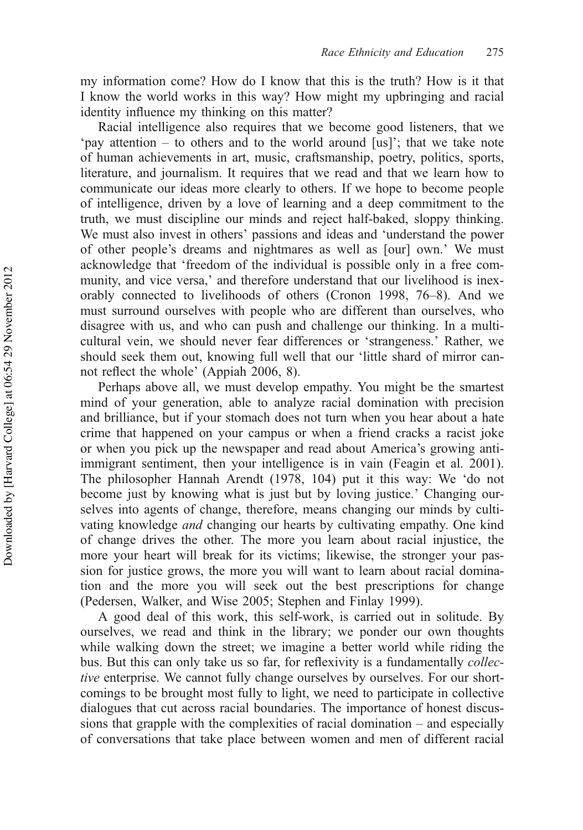my information come? How do I know that this is the truth? How is it that I know the world works in this way? How might my upbringing and racial identity influence my thinking on this matter?

Racial intelligence also requires that we become good listeners, that we 'pay attention – to others and to the world around [us]'; that we take note of human achievements in art, music, craftsmanship, poetry, politics, sports, literature, and journalism. It requires that we read and that we learn how to communicate our ideas more clearly to others. If we hope to become people of intelligence, driven by a love of learning and a deep commitment to the truth, we must discipline our minds and reject half-baked, sloppy thinking. We must also invest in others' passions and ideas and 'understand the power of other people's dreams and nightmares as well as [our] own.' We must acknowledge that 'freedom of the individual is possible only in a free community, and vice versa,' and therefore understand that our livelihood is inexorably connected to livelihoods of others (Cronon 1998, 76–8). And we must surround ourselves with people who are different than ourselves, who disagree with us, and who can push and challenge our thinking. In a multicultural vein, we should never fear differences or 'strangeness.' Rather, we should seek them out, knowing full well that our 'little shard of mirror cannot reflect the whole' (Appiah 2006, 8).

Perhaps above all, we must develop empathy. You might be the smartest mind of your generation, able to analyze racial domination with precision and brilliance, but if your stomach does not turn when you hear about a hate crime that happened on your campus or when a friend cracks a racist joke or when you pick up the newspaper and read about America's growing antiimmigrant sentiment, then your intelligence is in vain (Feagin et al. 2001). The philosopher Hannah Arendt (1978, 104) put it this way: We 'do not become just by knowing what is just but by loving justice.' Changing ourselves into agents of change, therefore, means changing our minds by cultivating knowledge and changing our hearts by cultivating empathy. One kind of change drives the other. The more you learn about racial injustice, the more your heart will break for its victims; likewise, the stronger your passion for justice grows, the more you will want to learn about racial domination and the more you will seek out the best prescriptions for change (Pedersen, Walker, and Wise 2005; Stephen and Finlay 1999).

A good deal of this work, this self-work, is carried out in solitude. By ourselves, we read and think in the library; we ponder our own thoughts while walking down the street; we imagine a better world while riding the bus. But this can only take us so far, for reflexivity is a fundamentally *collec*tive enterprise. We cannot fully change ourselves by ourselves. For our shortcomings to be brought most fully to light, we need to participate in collective dialogues that cut across racial boundaries. The importance of honest discussions that grapple with the complexities of racial domination – and especially of conversations that take place between women and men of different racial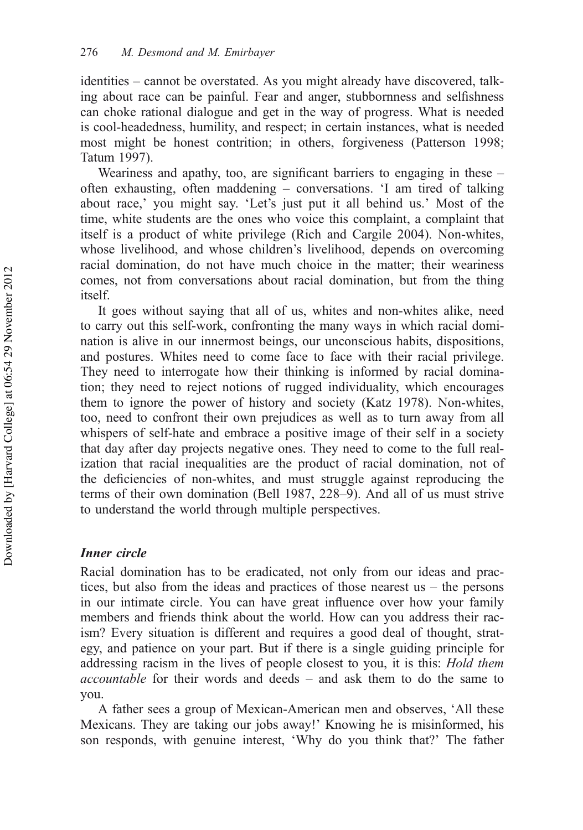identities – cannot be overstated. As you might already have discovered, talking about race can be painful. Fear and anger, stubbornness and selfishness can choke rational dialogue and get in the way of progress. What is needed is cool-headedness, humility, and respect; in certain instances, what is needed most might be honest contrition; in others, forgiveness (Patterson 1998; Tatum 1997).

Weariness and apathy, too, are significant barriers to engaging in these – often exhausting, often maddening – conversations. 'I am tired of talking about race,' you might say. 'Let's just put it all behind us.' Most of the time, white students are the ones who voice this complaint, a complaint that itself is a product of white privilege (Rich and Cargile 2004). Non-whites, whose livelihood, and whose children's livelihood, depends on overcoming racial domination, do not have much choice in the matter; their weariness comes, not from conversations about racial domination, but from the thing itself.

It goes without saying that all of us, whites and non-whites alike, need to carry out this self-work, confronting the many ways in which racial domination is alive in our innermost beings, our unconscious habits, dispositions, and postures. Whites need to come face to face with their racial privilege. They need to interrogate how their thinking is informed by racial domination; they need to reject notions of rugged individuality, which encourages them to ignore the power of history and society (Katz 1978). Non-whites, too, need to confront their own prejudices as well as to turn away from all whispers of self-hate and embrace a positive image of their self in a society that day after day projects negative ones. They need to come to the full realization that racial inequalities are the product of racial domination, not of the deficiencies of non-whites, and must struggle against reproducing the terms of their own domination (Bell 1987, 228–9). And all of us must strive to understand the world through multiple perspectives.

### Inner circle

Racial domination has to be eradicated, not only from our ideas and practices, but also from the ideas and practices of those nearest us – the persons in our intimate circle. You can have great influence over how your family members and friends think about the world. How can you address their racism? Every situation is different and requires a good deal of thought, strategy, and patience on your part. But if there is a single guiding principle for addressing racism in the lives of people closest to you, it is this: Hold them accountable for their words and deeds – and ask them to do the same to you.

A father sees a group of Mexican-American men and observes, 'All these Mexicans. They are taking our jobs away!' Knowing he is misinformed, his son responds, with genuine interest, 'Why do you think that?' The father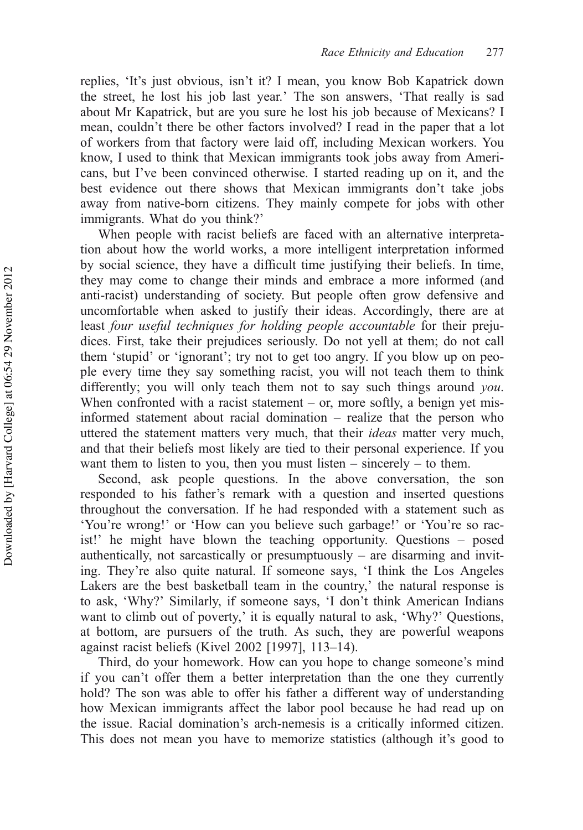replies, 'It's just obvious, isn't it? I mean, you know Bob Kapatrick down the street, he lost his job last year.' The son answers, 'That really is sad about Mr Kapatrick, but are you sure he lost his job because of Mexicans? I mean, couldn't there be other factors involved? I read in the paper that a lot of workers from that factory were laid off, including Mexican workers. You know, I used to think that Mexican immigrants took jobs away from Americans, but I've been convinced otherwise. I started reading up on it, and the best evidence out there shows that Mexican immigrants don't take jobs away from native-born citizens. They mainly compete for jobs with other immigrants. What do you think?'

When people with racist beliefs are faced with an alternative interpretation about how the world works, a more intelligent interpretation informed by social science, they have a difficult time justifying their beliefs. In time, they may come to change their minds and embrace a more informed (and anti-racist) understanding of society. But people often grow defensive and uncomfortable when asked to justify their ideas. Accordingly, there are at least four useful techniques for holding people accountable for their prejudices. First, take their prejudices seriously. Do not yell at them; do not call them 'stupid' or 'ignorant'; try not to get too angry. If you blow up on people every time they say something racist, you will not teach them to think differently; you will only teach them not to say such things around *you*. When confronted with a racist statement  $-$  or, more softly, a benign yet misinformed statement about racial domination – realize that the person who uttered the statement matters very much, that their *ideas* matter very much, and that their beliefs most likely are tied to their personal experience. If you want them to listen to you, then you must listen  $-$  sincerely  $-$  to them.

Second, ask people questions. In the above conversation, the son responded to his father's remark with a question and inserted questions throughout the conversation. If he had responded with a statement such as 'You're wrong!' or 'How can you believe such garbage!' or 'You're so racist!' he might have blown the teaching opportunity. Questions – posed authentically, not sarcastically or presumptuously – are disarming and inviting. They're also quite natural. If someone says, 'I think the Los Angeles Lakers are the best basketball team in the country,' the natural response is to ask, 'Why?' Similarly, if someone says, 'I don't think American Indians want to climb out of poverty,' it is equally natural to ask, 'Why?' Questions, at bottom, are pursuers of the truth. As such, they are powerful weapons against racist beliefs (Kivel 2002 [1997], 113–14).

Third, do your homework. How can you hope to change someone's mind if you can't offer them a better interpretation than the one they currently hold? The son was able to offer his father a different way of understanding how Mexican immigrants affect the labor pool because he had read up on the issue. Racial domination's arch-nemesis is a critically informed citizen. This does not mean you have to memorize statistics (although it's good to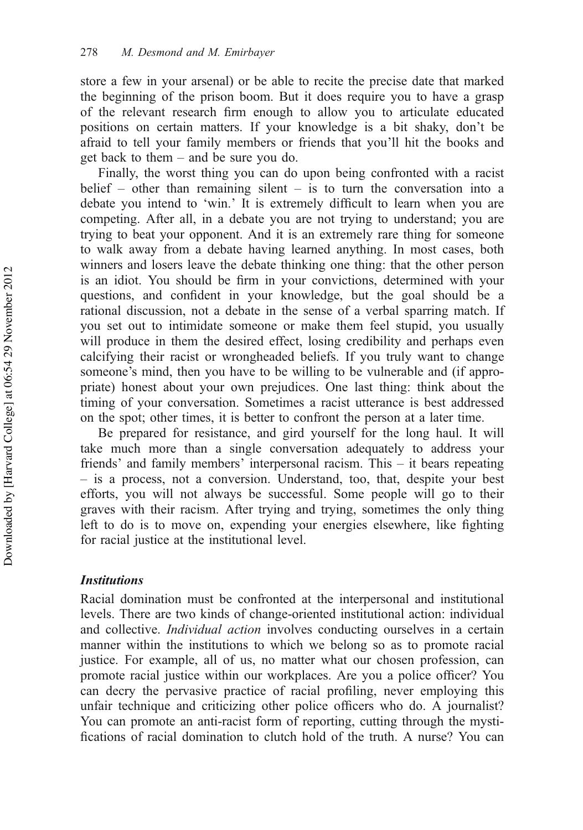store a few in your arsenal) or be able to recite the precise date that marked the beginning of the prison boom. But it does require you to have a grasp of the relevant research firm enough to allow you to articulate educated positions on certain matters. If your knowledge is a bit shaky, don't be afraid to tell your family members or friends that you'll hit the books and get back to them – and be sure you do.

Finally, the worst thing you can do upon being confronted with a racist belief – other than remaining silent – is to turn the conversation into a debate you intend to 'win.' It is extremely difficult to learn when you are competing. After all, in a debate you are not trying to understand; you are trying to beat your opponent. And it is an extremely rare thing for someone to walk away from a debate having learned anything. In most cases, both winners and losers leave the debate thinking one thing: that the other person is an idiot. You should be firm in your convictions, determined with your questions, and confident in your knowledge, but the goal should be a rational discussion, not a debate in the sense of a verbal sparring match. If you set out to intimidate someone or make them feel stupid, you usually will produce in them the desired effect, losing credibility and perhaps even calcifying their racist or wrongheaded beliefs. If you truly want to change someone's mind, then you have to be willing to be vulnerable and (if appropriate) honest about your own prejudices. One last thing: think about the timing of your conversation. Sometimes a racist utterance is best addressed on the spot; other times, it is better to confront the person at a later time.

Be prepared for resistance, and gird yourself for the long haul. It will take much more than a single conversation adequately to address your friends' and family members' interpersonal racism. This – it bears repeating – is a process, not a conversion. Understand, too, that, despite your best efforts, you will not always be successful. Some people will go to their graves with their racism. After trying and trying, sometimes the only thing left to do is to move on, expending your energies elsewhere, like fighting for racial justice at the institutional level.

### **Institutions**

Racial domination must be confronted at the interpersonal and institutional levels. There are two kinds of change-oriented institutional action: individual and collective. *Individual action* involves conducting ourselves in a certain manner within the institutions to which we belong so as to promote racial justice. For example, all of us, no matter what our chosen profession, can promote racial justice within our workplaces. Are you a police officer? You can decry the pervasive practice of racial profiling, never employing this unfair technique and criticizing other police officers who do. A journalist? You can promote an anti-racist form of reporting, cutting through the mystifications of racial domination to clutch hold of the truth. A nurse? You can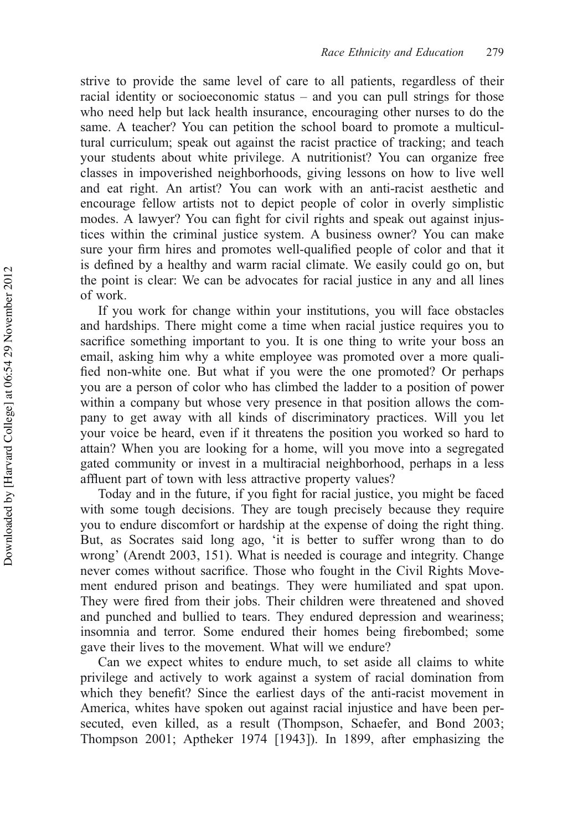strive to provide the same level of care to all patients, regardless of their racial identity or socioeconomic status – and you can pull strings for those who need help but lack health insurance, encouraging other nurses to do the same. A teacher? You can petition the school board to promote a multicultural curriculum; speak out against the racist practice of tracking; and teach your students about white privilege. A nutritionist? You can organize free classes in impoverished neighborhoods, giving lessons on how to live well and eat right. An artist? You can work with an anti-racist aesthetic and encourage fellow artists not to depict people of color in overly simplistic modes. A lawyer? You can fight for civil rights and speak out against injustices within the criminal justice system. A business owner? You can make sure your firm hires and promotes well-qualified people of color and that it is defined by a healthy and warm racial climate. We easily could go on, but the point is clear: We can be advocates for racial justice in any and all lines of work.

If you work for change within your institutions, you will face obstacles and hardships. There might come a time when racial justice requires you to sacrifice something important to you. It is one thing to write your boss an email, asking him why a white employee was promoted over a more qualified non-white one. But what if you were the one promoted? Or perhaps you are a person of color who has climbed the ladder to a position of power within a company but whose very presence in that position allows the company to get away with all kinds of discriminatory practices. Will you let your voice be heard, even if it threatens the position you worked so hard to attain? When you are looking for a home, will you move into a segregated gated community or invest in a multiracial neighborhood, perhaps in a less affluent part of town with less attractive property values?

Today and in the future, if you fight for racial justice, you might be faced with some tough decisions. They are tough precisely because they require you to endure discomfort or hardship at the expense of doing the right thing. But, as Socrates said long ago, 'it is better to suffer wrong than to do wrong' (Arendt 2003, 151). What is needed is courage and integrity. Change never comes without sacrifice. Those who fought in the Civil Rights Movement endured prison and beatings. They were humiliated and spat upon. They were fired from their jobs. Their children were threatened and shoved and punched and bullied to tears. They endured depression and weariness; insomnia and terror. Some endured their homes being firebombed; some gave their lives to the movement. What will we endure?

Can we expect whites to endure much, to set aside all claims to white privilege and actively to work against a system of racial domination from which they benefit? Since the earliest days of the anti-racist movement in America, whites have spoken out against racial injustice and have been persecuted, even killed, as a result (Thompson, Schaefer, and Bond 2003; Thompson 2001; Aptheker 1974 [1943]). In 1899, after emphasizing the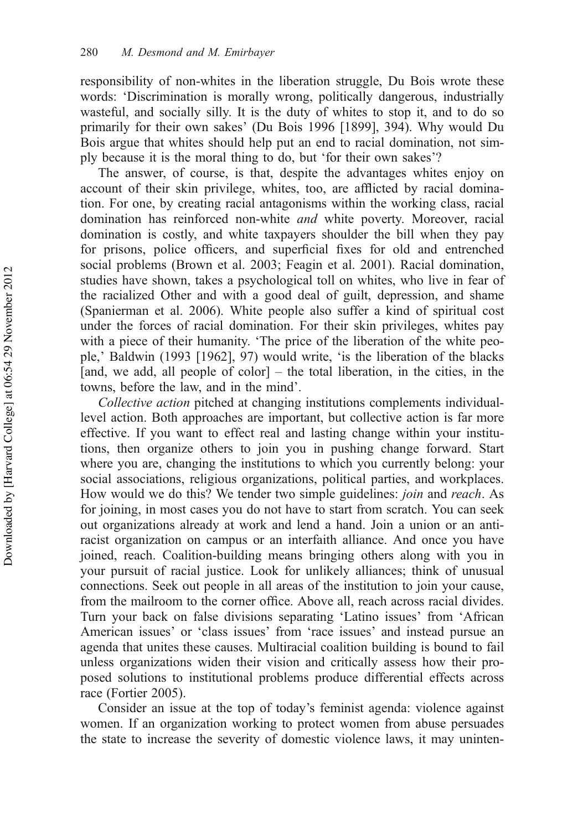responsibility of non-whites in the liberation struggle, Du Bois wrote these words: 'Discrimination is morally wrong, politically dangerous, industrially wasteful, and socially silly. It is the duty of whites to stop it, and to do so primarily for their own sakes' (Du Bois 1996 [1899], 394). Why would Du Bois argue that whites should help put an end to racial domination, not simply because it is the moral thing to do, but 'for their own sakes'?

The answer, of course, is that, despite the advantages whites enjoy on account of their skin privilege, whites, too, are afflicted by racial domination. For one, by creating racial antagonisms within the working class, racial domination has reinforced non-white and white poverty. Moreover, racial domination is costly, and white taxpayers shoulder the bill when they pay for prisons, police officers, and superficial fixes for old and entrenched social problems (Brown et al. 2003; Feagin et al. 2001). Racial domination, studies have shown, takes a psychological toll on whites, who live in fear of the racialized Other and with a good deal of guilt, depression, and shame (Spanierman et al. 2006). White people also suffer a kind of spiritual cost under the forces of racial domination. For their skin privileges, whites pay with a piece of their humanity. 'The price of the liberation of the white people,' Baldwin (1993 [1962], 97) would write, 'is the liberation of the blacks [and, we add, all people of color] – the total liberation, in the cities, in the towns, before the law, and in the mind'.

Collective action pitched at changing institutions complements individuallevel action. Both approaches are important, but collective action is far more effective. If you want to effect real and lasting change within your institutions, then organize others to join you in pushing change forward. Start where you are, changing the institutions to which you currently belong: your social associations, religious organizations, political parties, and workplaces. How would we do this? We tender two simple guidelines: join and reach. As for joining, in most cases you do not have to start from scratch. You can seek out organizations already at work and lend a hand. Join a union or an antiracist organization on campus or an interfaith alliance. And once you have joined, reach. Coalition-building means bringing others along with you in your pursuit of racial justice. Look for unlikely alliances; think of unusual connections. Seek out people in all areas of the institution to join your cause, from the mailroom to the corner office. Above all, reach across racial divides. Turn your back on false divisions separating 'Latino issues' from 'African American issues' or 'class issues' from 'race issues' and instead pursue an agenda that unites these causes. Multiracial coalition building is bound to fail unless organizations widen their vision and critically assess how their proposed solutions to institutional problems produce differential effects across race (Fortier 2005).

Consider an issue at the top of today's feminist agenda: violence against women. If an organization working to protect women from abuse persuades the state to increase the severity of domestic violence laws, it may uninten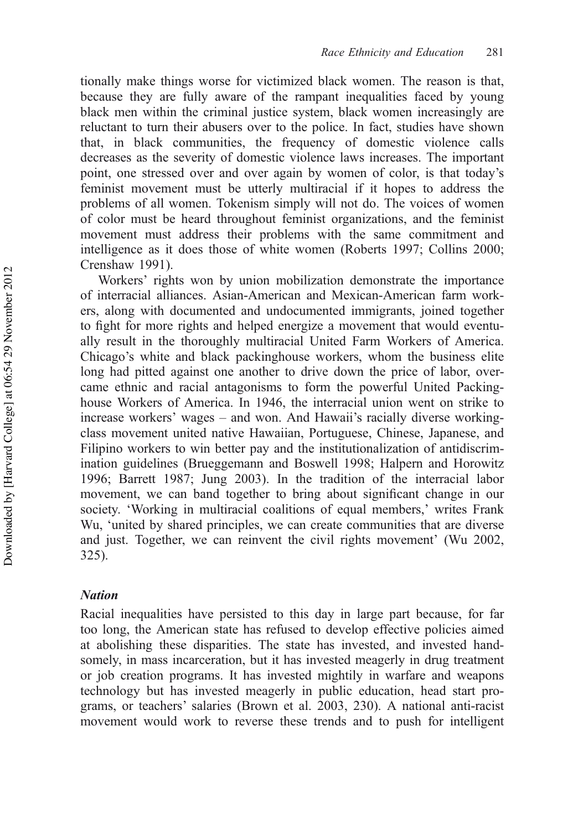tionally make things worse for victimized black women. The reason is that, because they are fully aware of the rampant inequalities faced by young black men within the criminal justice system, black women increasingly are reluctant to turn their abusers over to the police. In fact, studies have shown that, in black communities, the frequency of domestic violence calls decreases as the severity of domestic violence laws increases. The important point, one stressed over and over again by women of color, is that today's feminist movement must be utterly multiracial if it hopes to address the problems of all women. Tokenism simply will not do. The voices of women of color must be heard throughout feminist organizations, and the feminist movement must address their problems with the same commitment and intelligence as it does those of white women (Roberts 1997; Collins 2000; Crenshaw 1991).

Workers' rights won by union mobilization demonstrate the importance of interracial alliances. Asian-American and Mexican-American farm workers, along with documented and undocumented immigrants, joined together to fight for more rights and helped energize a movement that would eventually result in the thoroughly multiracial United Farm Workers of America. Chicago's white and black packinghouse workers, whom the business elite long had pitted against one another to drive down the price of labor, overcame ethnic and racial antagonisms to form the powerful United Packinghouse Workers of America. In 1946, the interracial union went on strike to increase workers' wages – and won. And Hawaii's racially diverse workingclass movement united native Hawaiian, Portuguese, Chinese, Japanese, and Filipino workers to win better pay and the institutionalization of antidiscrimination guidelines (Brueggemann and Boswell 1998; Halpern and Horowitz 1996; Barrett 1987; Jung 2003). In the tradition of the interracial labor movement, we can band together to bring about significant change in our society. 'Working in multiracial coalitions of equal members,' writes Frank Wu, 'united by shared principles, we can create communities that are diverse and just. Together, we can reinvent the civil rights movement' (Wu 2002, 325).

### Nation

Racial inequalities have persisted to this day in large part because, for far too long, the American state has refused to develop effective policies aimed at abolishing these disparities. The state has invested, and invested handsomely, in mass incarceration, but it has invested meagerly in drug treatment or job creation programs. It has invested mightily in warfare and weapons technology but has invested meagerly in public education, head start programs, or teachers' salaries (Brown et al. 2003, 230). A national anti-racist movement would work to reverse these trends and to push for intelligent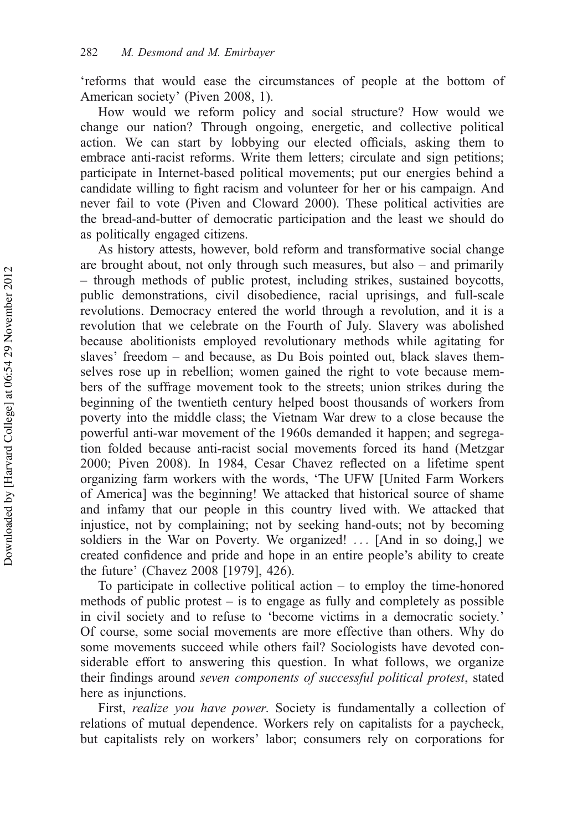'reforms that would ease the circumstances of people at the bottom of American society' (Piven 2008, 1).

How would we reform policy and social structure? How would we change our nation? Through ongoing, energetic, and collective political action. We can start by lobbying our elected officials, asking them to embrace anti-racist reforms. Write them letters; circulate and sign petitions; participate in Internet-based political movements; put our energies behind a candidate willing to fight racism and volunteer for her or his campaign. And never fail to vote (Piven and Cloward 2000). These political activities are the bread-and-butter of democratic participation and the least we should do as politically engaged citizens.

As history attests, however, bold reform and transformative social change are brought about, not only through such measures, but also – and primarily – through methods of public protest, including strikes, sustained boycotts, public demonstrations, civil disobedience, racial uprisings, and full-scale revolutions. Democracy entered the world through a revolution, and it is a revolution that we celebrate on the Fourth of July. Slavery was abolished because abolitionists employed revolutionary methods while agitating for slaves' freedom – and because, as Du Bois pointed out, black slaves themselves rose up in rebellion; women gained the right to vote because members of the suffrage movement took to the streets; union strikes during the beginning of the twentieth century helped boost thousands of workers from poverty into the middle class; the Vietnam War drew to a close because the powerful anti-war movement of the 1960s demanded it happen; and segregation folded because anti-racist social movements forced its hand (Metzgar 2000; Piven 2008). In 1984, Cesar Chavez reflected on a lifetime spent organizing farm workers with the words, 'The UFW [United Farm Workers of America] was the beginning! We attacked that historical source of shame and infamy that our people in this country lived with. We attacked that injustice, not by complaining; not by seeking hand-outs; not by becoming soldiers in the War on Poverty. We organized! ... [And in so doing,] we created confidence and pride and hope in an entire people's ability to create the future' (Chavez 2008 [1979], 426).

To participate in collective political action  $-$  to employ the time-honored methods of public protest  $-$  is to engage as fully and completely as possible in civil society and to refuse to 'become victims in a democratic society.' Of course, some social movements are more effective than others. Why do some movements succeed while others fail? Sociologists have devoted considerable effort to answering this question. In what follows, we organize their findings around seven components of successful political protest, stated here as injunctions.

First, realize you have power. Society is fundamentally a collection of relations of mutual dependence. Workers rely on capitalists for a paycheck, but capitalists rely on workers' labor; consumers rely on corporations for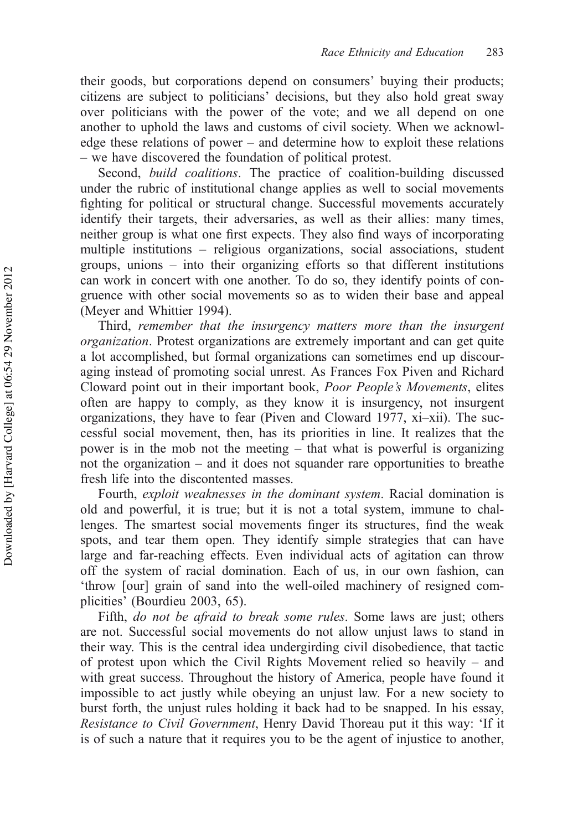their goods, but corporations depend on consumers' buying their products; citizens are subject to politicians' decisions, but they also hold great sway over politicians with the power of the vote; and we all depend on one another to uphold the laws and customs of civil society. When we acknowledge these relations of power – and determine how to exploit these relations – we have discovered the foundation of political protest.

Second, build coalitions. The practice of coalition-building discussed under the rubric of institutional change applies as well to social movements fighting for political or structural change. Successful movements accurately identify their targets, their adversaries, as well as their allies: many times, neither group is what one first expects. They also find ways of incorporating multiple institutions – religious organizations, social associations, student groups, unions – into their organizing efforts so that different institutions can work in concert with one another. To do so, they identify points of congruence with other social movements so as to widen their base and appeal (Meyer and Whittier 1994).

Third, remember that the insurgency matters more than the insurgent organization. Protest organizations are extremely important and can get quite a lot accomplished, but formal organizations can sometimes end up discouraging instead of promoting social unrest. As Frances Fox Piven and Richard Cloward point out in their important book, Poor People's Movements, elites often are happy to comply, as they know it is insurgency, not insurgent organizations, they have to fear (Piven and Cloward 1977, xi–xii). The successful social movement, then, has its priorities in line. It realizes that the power is in the mob not the meeting – that what is powerful is organizing not the organization – and it does not squander rare opportunities to breathe fresh life into the discontented masses.

Fourth, exploit weaknesses in the dominant system. Racial domination is old and powerful, it is true; but it is not a total system, immune to challenges. The smartest social movements finger its structures, find the weak spots, and tear them open. They identify simple strategies that can have large and far-reaching effects. Even individual acts of agitation can throw off the system of racial domination. Each of us, in our own fashion, can 'throw [our] grain of sand into the well-oiled machinery of resigned complicities' (Bourdieu 2003, 65).

Fifth, *do not be afraid to break some rules*. Some laws are just; others are not. Successful social movements do not allow unjust laws to stand in their way. This is the central idea undergirding civil disobedience, that tactic of protest upon which the Civil Rights Movement relied so heavily – and with great success. Throughout the history of America, people have found it impossible to act justly while obeying an unjust law. For a new society to burst forth, the unjust rules holding it back had to be snapped. In his essay, Resistance to Civil Government, Henry David Thoreau put it this way: 'If it is of such a nature that it requires you to be the agent of injustice to another,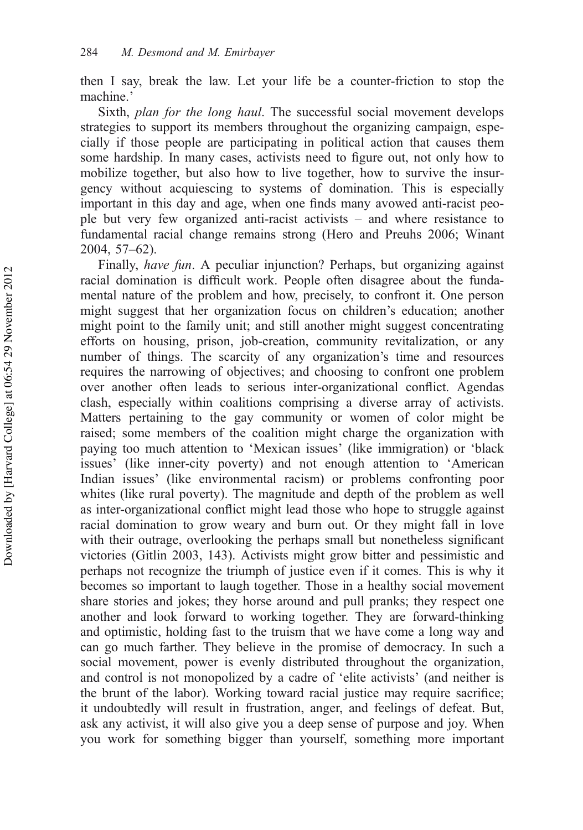then I say, break the law. Let your life be a counter-friction to stop the machine.'

Sixth, plan for the long haul. The successful social movement develops strategies to support its members throughout the organizing campaign, especially if those people are participating in political action that causes them some hardship. In many cases, activists need to figure out, not only how to mobilize together, but also how to live together, how to survive the insurgency without acquiescing to systems of domination. This is especially important in this day and age, when one finds many avowed anti-racist people but very few organized anti-racist activists – and where resistance to fundamental racial change remains strong (Hero and Preuhs 2006; Winant 2004, 57–62).

Finally, have fun. A peculiar injunction? Perhaps, but organizing against racial domination is difficult work. People often disagree about the fundamental nature of the problem and how, precisely, to confront it. One person might suggest that her organization focus on children's education; another might point to the family unit; and still another might suggest concentrating efforts on housing, prison, job-creation, community revitalization, or any number of things. The scarcity of any organization's time and resources requires the narrowing of objectives; and choosing to confront one problem over another often leads to serious inter-organizational conflict. Agendas clash, especially within coalitions comprising a diverse array of activists. Matters pertaining to the gay community or women of color might be raised; some members of the coalition might charge the organization with paying too much attention to 'Mexican issues' (like immigration) or 'black issues' (like inner-city poverty) and not enough attention to 'American Indian issues' (like environmental racism) or problems confronting poor whites (like rural poverty). The magnitude and depth of the problem as well as inter-organizational conflict might lead those who hope to struggle against racial domination to grow weary and burn out. Or they might fall in love with their outrage, overlooking the perhaps small but nonetheless significant victories (Gitlin 2003, 143). Activists might grow bitter and pessimistic and perhaps not recognize the triumph of justice even if it comes. This is why it becomes so important to laugh together. Those in a healthy social movement share stories and jokes; they horse around and pull pranks; they respect one another and look forward to working together. They are forward-thinking and optimistic, holding fast to the truism that we have come a long way and can go much farther. They believe in the promise of democracy. In such a social movement, power is evenly distributed throughout the organization, and control is not monopolized by a cadre of 'elite activists' (and neither is the brunt of the labor). Working toward racial justice may require sacrifice; it undoubtedly will result in frustration, anger, and feelings of defeat. But, ask any activist, it will also give you a deep sense of purpose and joy. When you work for something bigger than yourself, something more important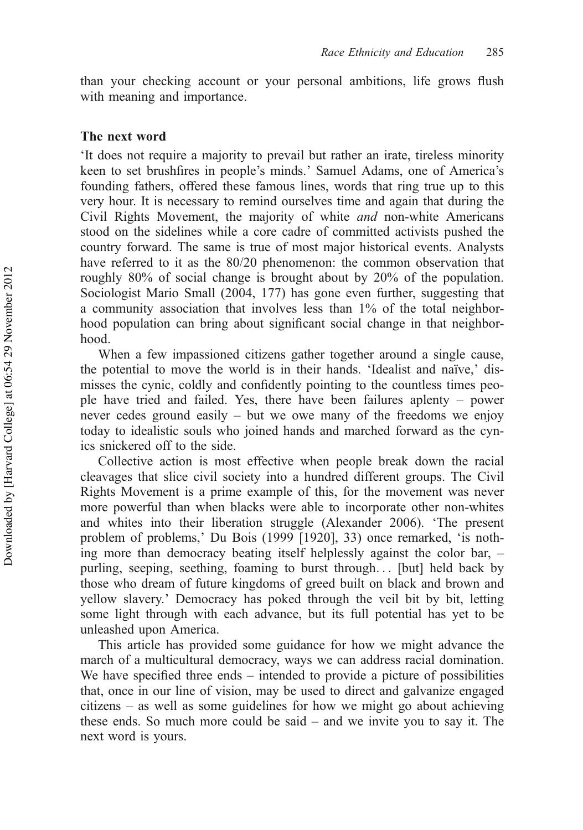than your checking account or your personal ambitions, life grows flush with meaning and importance.

### The next word

'It does not require a majority to prevail but rather an irate, tireless minority keen to set brushfires in people's minds.' Samuel Adams, one of America's founding fathers, offered these famous lines, words that ring true up to this very hour. It is necessary to remind ourselves time and again that during the Civil Rights Movement, the majority of white and non-white Americans stood on the sidelines while a core cadre of committed activists pushed the country forward. The same is true of most major historical events. Analysts have referred to it as the 80/20 phenomenon: the common observation that roughly 80% of social change is brought about by 20% of the population. Sociologist Mario Small (2004, 177) has gone even further, suggesting that a community association that involves less than 1% of the total neighborhood population can bring about significant social change in that neighborhood.

When a few impassioned citizens gather together around a single cause, the potential to move the world is in their hands. 'Idealist and naïve,' dismisses the cynic, coldly and confidently pointing to the countless times people have tried and failed. Yes, there have been failures aplenty – power never cedes ground easily – but we owe many of the freedoms we enjoy today to idealistic souls who joined hands and marched forward as the cynics snickered off to the side.

Collective action is most effective when people break down the racial cleavages that slice civil society into a hundred different groups. The Civil Rights Movement is a prime example of this, for the movement was never more powerful than when blacks were able to incorporate other non-whites and whites into their liberation struggle (Alexander 2006). 'The present problem of problems,' Du Bois (1999 [1920], 33) once remarked, 'is nothing more than democracy beating itself helplessly against the color bar, – purling, seeping, seething, foaming to burst through... [but] held back by those who dream of future kingdoms of greed built on black and brown and yellow slavery.' Democracy has poked through the veil bit by bit, letting some light through with each advance, but its full potential has yet to be unleashed upon America.

This article has provided some guidance for how we might advance the march of a multicultural democracy, ways we can address racial domination. We have specified three ends – intended to provide a picture of possibilities that, once in our line of vision, may be used to direct and galvanize engaged citizens – as well as some guidelines for how we might go about achieving these ends. So much more could be said – and we invite you to say it. The next word is yours.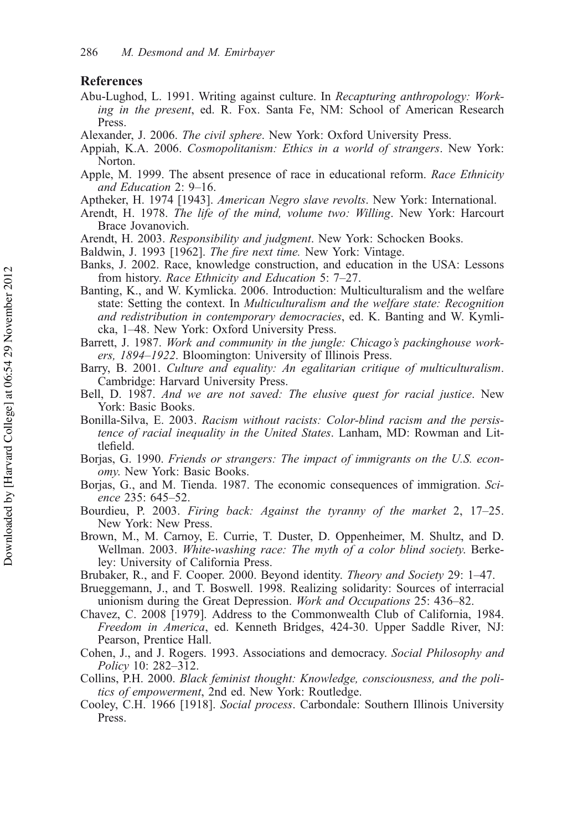#### References

- Abu-Lughod, L. 1991. Writing against culture. In Recapturing anthropology: Working in the present, ed. R. Fox. Santa Fe, NM: School of American Research Press.
- Alexander, J. 2006. The civil sphere. New York: Oxford University Press.
- Appiah, K.A. 2006. Cosmopolitanism: Ethics in a world of strangers. New York: Norton.
- Apple, M. 1999. The absent presence of race in educational reform. Race Ethnicity and Education 2: 9–16.
- Aptheker, H. 1974 [1943]. American Negro slave revolts. New York: International.
- Arendt, H. 1978. The life of the mind, volume two: Willing. New York: Harcourt Brace Jovanovich.
- Arendt, H. 2003. Responsibility and judgment. New York: Schocken Books.
- Baldwin, J. 1993 [1962]. The fire next time. New York: Vintage.
- Banks, J. 2002. Race, knowledge construction, and education in the USA: Lessons from history. Race Ethnicity and Education 5: 7–27.
- Banting, K., and W. Kymlicka. 2006. Introduction: Multiculturalism and the welfare state: Setting the context. In Multiculturalism and the welfare state: Recognition and redistribution in contemporary democracies, ed. K. Banting and W. Kymlicka, 1–48. New York: Oxford University Press.
- Barrett, J. 1987. Work and community in the jungle: Chicago's packinghouse workers, 1894–1922. Bloomington: University of Illinois Press.
- Barry, B. 2001. Culture and equality: An egalitarian critique of multiculturalism. Cambridge: Harvard University Press.
- Bell, D. 1987. And we are not saved: The elusive quest for racial justice. New York: Basic Books.
- Bonilla-Silva, E. 2003. Racism without racists: Color-blind racism and the persistence of racial inequality in the United States. Lanham, MD: Rowman and Littlefield.
- Borjas, G. 1990. Friends or strangers: The impact of immigrants on the U.S. economy. New York: Basic Books.
- Borjas, G., and M. Tienda. 1987. The economic consequences of immigration. Science 235: 645–52.
- Bourdieu, P. 2003. Firing back: Against the tyranny of the market 2, 17–25. New York: New Press.
- Brown, M., M. Carnoy, E. Currie, T. Duster, D. Oppenheimer, M. Shultz, and D. Wellman. 2003. White-washing race: The myth of a color blind society. Berkeley: University of California Press.
- Brubaker, R., and F. Cooper. 2000. Beyond identity. Theory and Society 29: 1–47.
- Brueggemann, J., and T. Boswell. 1998. Realizing solidarity: Sources of interracial unionism during the Great Depression. Work and Occupations 25: 436–82.
- Chavez, C. 2008 [1979]. Address to the Commonwealth Club of California, 1984. Freedom in America, ed. Kenneth Bridges, 424-30. Upper Saddle River, NJ: Pearson, Prentice Hall.
- Cohen, J., and J. Rogers. 1993. Associations and democracy. Social Philosophy and Policy 10: 282–312.
- Collins, P.H. 2000. Black feminist thought: Knowledge, consciousness, and the politics of empowerment, 2nd ed. New York: Routledge.
- Cooley, C.H. 1966 [1918]. Social process. Carbondale: Southern Illinois University Press.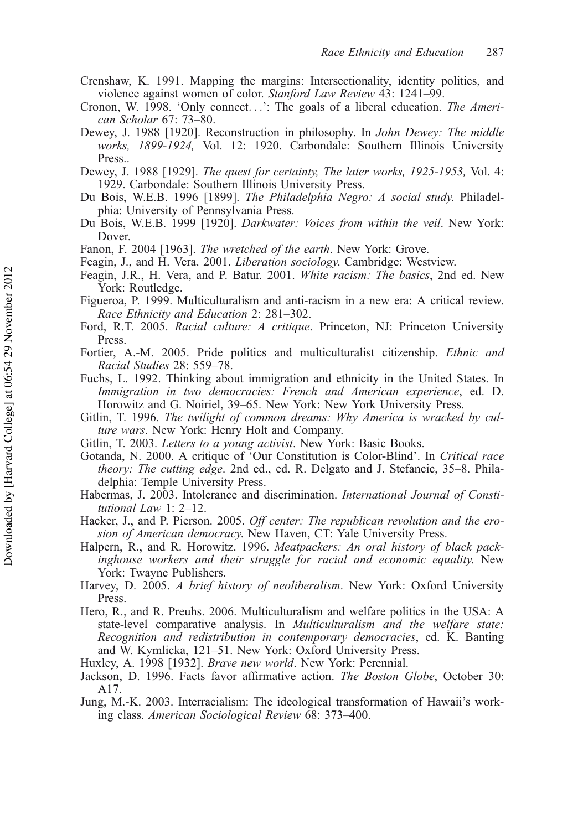- Crenshaw, K. 1991. Mapping the margins: Intersectionality, identity politics, and violence against women of color. Stanford Law Review 43: 1241–99.
- Cronon, W. 1998. 'Only connect...': The goals of a liberal education. The American Scholar 67: 73–80.
- Dewey, J. 1988 [1920]. Reconstruction in philosophy. In John Dewey: The middle works, 1899-1924, Vol. 12: 1920. Carbondale: Southern Illinois University Press..
- Dewey, J. 1988 [1929]. The quest for certainty, The later works, 1925-1953, Vol. 4: 1929. Carbondale: Southern Illinois University Press.
- Du Bois, W.E.B. 1996 [1899]. The Philadelphia Negro: A social study. Philadelphia: University of Pennsylvania Press.
- Du Bois, W.E.B. 1999 [1920]. Darkwater: Voices from within the veil. New York: Dover.
- Fanon, F. 2004 [1963]. The wretched of the earth. New York: Grove.
- Feagin, J., and H. Vera. 2001. Liberation sociology. Cambridge: Westview.
- Feagin, J.R., H. Vera, and P. Batur. 2001. White racism: The basics, 2nd ed. New York: Routledge.
- Figueroa, P. 1999. Multiculturalism and anti-racism in a new era: A critical review. Race Ethnicity and Education 2: 281–302.
- Ford, R.T. 2005. Racial culture: A critique. Princeton, NJ: Princeton University Press.
- Fortier, A.-M. 2005. Pride politics and multiculturalist citizenship. Ethnic and Racial Studies 28: 559–78.
- Fuchs, L. 1992. Thinking about immigration and ethnicity in the United States. In Immigration in two democracies: French and American experience, ed. D. Horowitz and G. Noiriel, 39–65. New York: New York University Press.
- Gitlin, T. 1996. The twilight of common dreams: Why America is wracked by culture wars. New York: Henry Holt and Company.
- Gitlin, T. 2003. Letters to a young activist. New York: Basic Books.
- Gotanda, N. 2000. A critique of 'Our Constitution is Color-Blind'. In Critical race theory: The cutting edge. 2nd ed., ed. R. Delgato and J. Stefancic, 35–8. Philadelphia: Temple University Press.
- Habermas, J. 2003. Intolerance and discrimination. International Journal of Constitutional Law 1: 2–12.
- Hacker, J., and P. Pierson. 2005. *Off center: The republican revolution and the ero*sion of American democracy. New Haven, CT: Yale University Press.
- Halpern, R., and R. Horowitz. 1996. Meatpackers: An oral history of black packinghouse workers and their struggle for racial and economic equality. New York: Twayne Publishers.
- Harvey, D. 2005. A brief history of neoliberalism. New York: Oxford University Press.
- Hero, R., and R. Preuhs. 2006. Multiculturalism and welfare politics in the USA: A state-level comparative analysis. In Multiculturalism and the welfare state: Recognition and redistribution in contemporary democracies, ed. K. Banting and W. Kymlicka, 121–51. New York: Oxford University Press.
- Huxley, A. 1998 [1932]. Brave new world. New York: Perennial.
- Jackson, D. 1996. Facts favor affirmative action. The Boston Globe, October 30: A17.
- Jung, M.-K. 2003. Interracialism: The ideological transformation of Hawaii's working class. American Sociological Review 68: 373–400.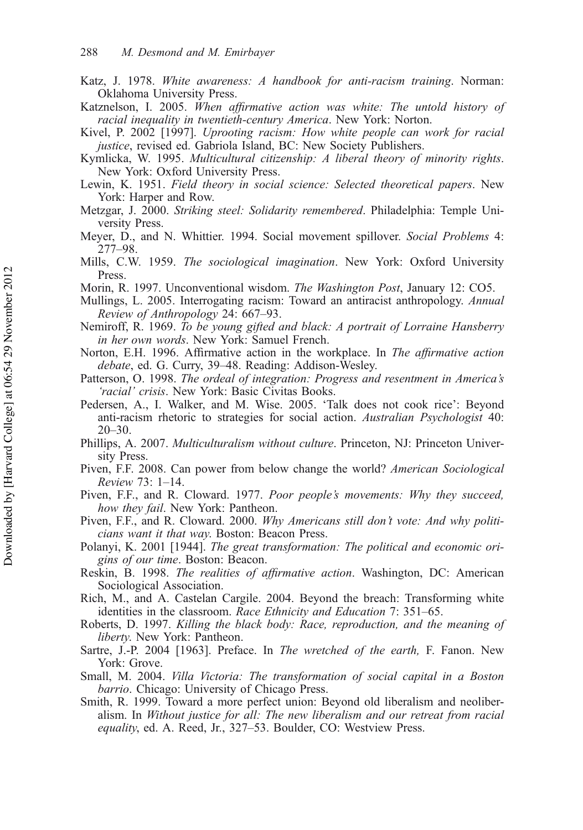- Katz, J. 1978. White awareness: A handbook for anti-racism training. Norman: Oklahoma University Press.
- Katznelson, I. 2005. When affirmative action was white: The untold history of racial inequality in twentieth-century America. New York: Norton.
- Kivel, P. 2002 [1997]. Uprooting racism: How white people can work for racial justice, revised ed. Gabriola Island, BC: New Society Publishers.
- Kymlicka, W. 1995. Multicultural citizenship: A liberal theory of minority rights. New York: Oxford University Press.
- Lewin, K. 1951. Field theory in social science: Selected theoretical papers. New York: Harper and Row.
- Metzgar, J. 2000. Striking steel: Solidarity remembered. Philadelphia: Temple University Press.
- Meyer, D., and N. Whittier. 1994. Social movement spillover. Social Problems 4: 277–98.
- Mills, C.W. 1959. The sociological imagination. New York: Oxford University Press.
- Morin, R. 1997. Unconventional wisdom. The Washington Post, January 12: CO5.
- Mullings, L. 2005. Interrogating racism: Toward an antiracist anthropology. Annual Review of Anthropology 24: 667–93.
- Nemiroff, R. 1969. To be young gifted and black: A portrait of Lorraine Hansberry in her own words. New York: Samuel French.
- Norton, E.H. 1996. Affirmative action in the workplace. In The affirmative action debate, ed. G. Curry, 39–48. Reading: Addison-Wesley.
- Patterson, O. 1998. The ordeal of integration: Progress and resentment in America's 'racial' crisis. New York: Basic Civitas Books.
- Pedersen, A., I. Walker, and M. Wise. 2005. 'Talk does not cook rice': Beyond anti-racism rhetoric to strategies for social action. Australian Psychologist 40: 20–30.
- Phillips, A. 2007. Multiculturalism without culture. Princeton, NJ: Princeton University Press.
- Piven, F.F. 2008. Can power from below change the world? American Sociological Review 73: 1–14.
- Piven, F.F., and R. Cloward. 1977. Poor people's movements: Why they succeed, how they fail. New York: Pantheon.
- Piven, F.F., and R. Cloward. 2000. Why Americans still don't vote: And why politicians want it that way. Boston: Beacon Press.
- Polanyi, K. 2001 [1944]. The great transformation: The political and economic origins of our time. Boston: Beacon.
- Reskin, B. 1998. The realities of affirmative action. Washington, DC: American Sociological Association.
- Rich, M., and A. Castelan Cargile. 2004. Beyond the breach: Transforming white identities in the classroom. Race Ethnicity and Education 7: 351–65.
- Roberts, D. 1997. Killing the black body: Race, reproduction, and the meaning of liberty. New York: Pantheon.
- Sartre, J.-P. 2004 [1963]. Preface. In The wretched of the earth, F. Fanon. New York: Grove.
- Small, M. 2004. Villa Victoria: The transformation of social capital in a Boston barrio. Chicago: University of Chicago Press.
- Smith, R. 1999. Toward a more perfect union: Beyond old liberalism and neoliberalism. In Without justice for all: The new liberalism and our retreat from racial equality, ed. A. Reed, Jr., 327–53. Boulder, CO: Westview Press.